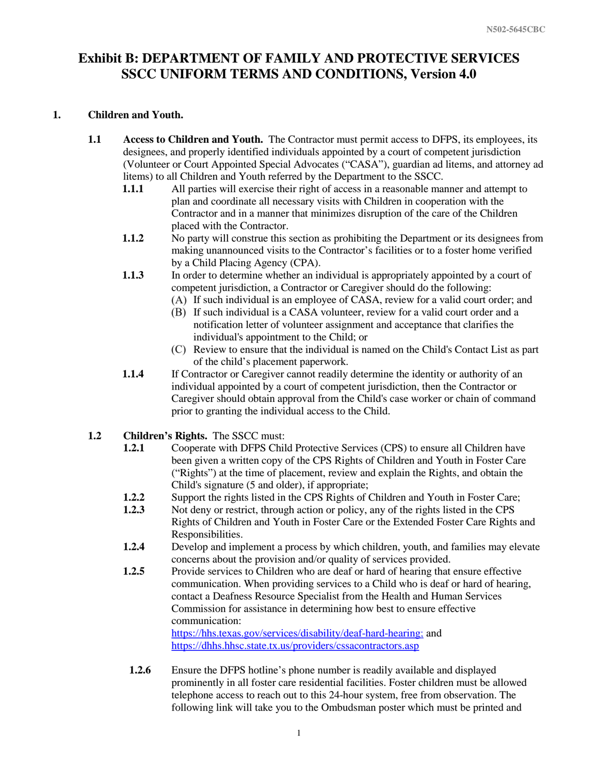#### **1. Children and Youth.**

- **1.1 Access to Children and Youth.** The Contractor must permit access to DFPS, its employees, its designees, and properly identified individuals appointed by a court of competent jurisdiction (Volunteer or Court Appointed Special Advocates ("CASA"), guardian ad litems, and attorney ad litems) to all Children and Youth referred by the Department to the SSCC.
	- **1.1.1** All parties will exercise their right of access in a reasonable manner and attempt to plan and coordinate all necessary visits with Children in cooperation with the Contractor and in a manner that minimizes disruption of the care of the Children placed with the Contractor.
	- **1.1.2** No party will construe this section as prohibiting the Department or its designees from making unannounced visits to the Contractor's facilities or to a foster home verified by a Child Placing Agency (CPA).
	- **1.1.3** In order to determine whether an individual is appropriately appointed by a court of competent jurisdiction, a Contractor or Caregiver should do the following:
		- (A) If such individual is an employee of CASA, review for a valid court order; and
		- (B) If such individual is a CASA volunteer, review for a valid court order and a notification letter of volunteer assignment and acceptance that clarifies the individual's appointment to the Child; or
		- Review to ensure that the individual is named on the Child's Contact List as part of the child's placement paperwork.
	- **1.1.4** If Contractor or Caregiver cannot readily determine the identity or authority of an individual appointed by a court of competent jurisdiction, then the Contractor or Caregiver should obtain approval from the Child's case worker or chain of command prior to granting the individual access to the Child.
- **1.2 Children's Rights.** The SSCC must:
	- **1.2.1** Cooperate with DFPS Child Protective Services (CPS) to ensure all Children have been given a written copy of the CPS Rights of Children and Youth in Foster Care ("Rights") at the time of placement, review and explain the Rights, and obtain the Child's signature (5 and older), if appropriate;
	- **1.2.2** Support the rights listed in the CPS Rights of Children and Youth in Foster Care;
	- **1.2.3** Not deny or restrict, through action or policy, any of the rights listed in the CPS Rights of Children and Youth in Foster Care or the Extended Foster Care Rights and Responsibilities.
	- **1.2.4** Develop and implement a process by which children, youth, and families may elevate concerns about the provision and/or quality of services provided.
	- **1.2.5** Provide services to Children who are deaf or hard of hearing that ensure effective communication. When providing services to a Child who is deaf or hard of hearing, contact a Deafness Resource Specialist from the Health and Human Services Commission for assistance in determining how best to ensure effective communication:

[https://hhs.texas.gov/services/disability/deaf-hard-hearing;](https://hhs.texas.gov/services/disability/deaf-hard-hearing) and <https://dhhs.hhsc.state.tx.us/providers/cssacontractors.asp>

**1.2.6** Ensure the DFPS hotline's phone number is readily available and displayed prominently in all foster care residential facilities. Foster children must be allowed telephone access to reach out to this 24-hour system, free from observation. The following link will take you to the Ombudsman poster which must be printed and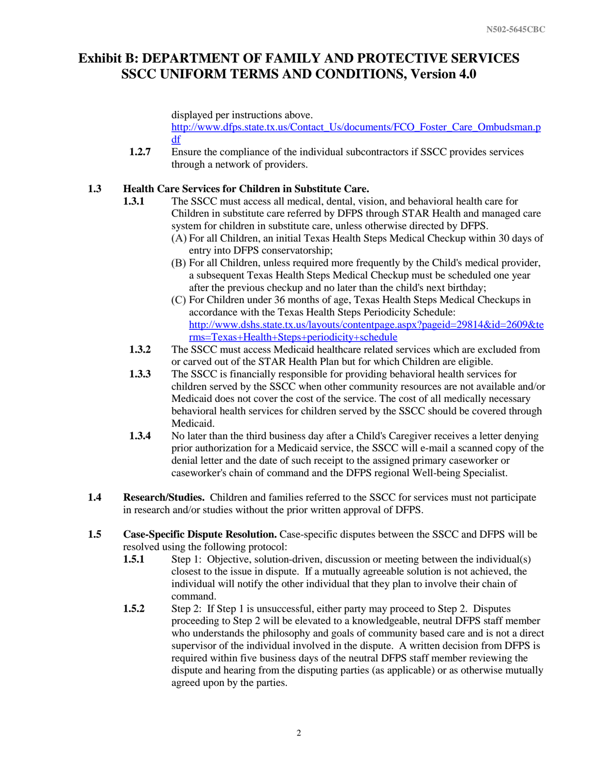displayed per instructions above.

[http://www.dfps.state.tx.us/Contact\\_Us/documents/FCO\\_Foster\\_Care\\_Ombudsman.p](http://www.dfps.state.tx.us/Contact_Us/documents/FCO_Foster_Care_Ombudsman.pdf) [df](http://www.dfps.state.tx.us/Contact_Us/documents/FCO_Foster_Care_Ombudsman.pdf)

**1.2.7** Ensure the compliance of the individual subcontractors if SSCC provides services through a network of providers.

### **1.3 Health Care Services for Children in Substitute Care.**

- **1.3.1** The SSCC must access all medical, dental, vision, and behavioral health care for Children in substitute care referred by DFPS through STAR Health and managed care system for children in substitute care, unless otherwise directed by DFPS.
	- For all Children, an initial Texas Health Steps Medical Checkup within 30 days of entry into DFPS conservatorship;
	- For all Children, unless required more frequently by the Child's medical provider, a subsequent Texas Health Steps Medical Checkup must be scheduled one year after the previous checkup and no later than the child's next birthday;
	- (C) For Children under 36 months of age, Texas Health Steps Medical Checkups in accordance with the Texas Health Steps Periodicity Schedule: [http://www.dshs.state.tx.us/layouts/contentpage.aspx?pageid=29814&id=2609&te](http://www.dshs.state.tx.us/layouts/contentpage.aspx?pageid=29814&id=2609&terms=Texas+Health+Steps+periodicity+schedule) [rms=Texas+Health+Steps+periodicity+schedule](http://www.dshs.state.tx.us/layouts/contentpage.aspx?pageid=29814&id=2609&terms=Texas+Health+Steps+periodicity+schedule)
- **1.3.2** The SSCC must access Medicaid healthcare related services which are excluded from or carved out of the STAR Health Plan but for which Children are eligible.
- **1.3.3** The SSCC is financially responsible for providing behavioral health services for children served by the SSCC when other community resources are not available and/or Medicaid does not cover the cost of the service. The cost of all medically necessary behavioral health services for children served by the SSCC should be covered through Medicaid.
- **1.3.4** No later than the third business day after a Child's Caregiver receives a letter denying prior authorization for a Medicaid service, the SSCC will e-mail a scanned copy of the denial letter and the date of such receipt to the assigned primary caseworker or caseworker's chain of command and the DFPS regional Well-being Specialist.
- **1.4 Research/Studies.** Children and families referred to the SSCC for services must not participate in research and/or studies without the prior written approval of DFPS.
- **1.5 Case-Specific Dispute Resolution.** Case-specific disputes between the SSCC and DFPS will be resolved using the following protocol:
	- **1.5.1** Step 1: Objective, solution-driven, discussion or meeting between the individual(s) closest to the issue in dispute. If a mutually agreeable solution is not achieved, the individual will notify the other individual that they plan to involve their chain of command.
	- **1.5.2** Step 2: If Step 1 is unsuccessful, either party may proceed to Step 2. Disputes proceeding to Step 2 will be elevated to a knowledgeable, neutral DFPS staff member who understands the philosophy and goals of community based care and is not a direct supervisor of the individual involved in the dispute. A written decision from DFPS is required within five business days of the neutral DFPS staff member reviewing the dispute and hearing from the disputing parties (as applicable) or as otherwise mutually agreed upon by the parties.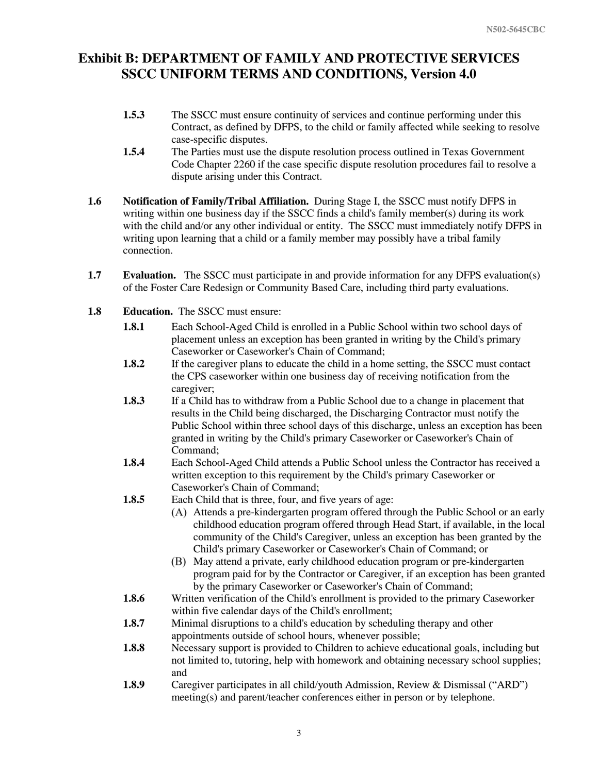- **1.5.3** The SSCC must ensure continuity of services and continue performing under this Contract, as defined by DFPS, to the child or family affected while seeking to resolve case-specific disputes.
- **1.5.4** The Parties must use the dispute resolution process outlined in Texas Government Code Chapter 2260 if the case specific dispute resolution procedures fail to resolve a dispute arising under this Contract.
- **1.6 Notification of Family/Tribal Affiliation.** During Stage I, the SSCC must notify DFPS in writing within one business day if the SSCC finds a child's family member(s) during its work with the child and/or any other individual or entity. The SSCC must immediately notify DFPS in writing upon learning that a child or a family member may possibly have a tribal family connection.
- **1.7 Evaluation.** The SSCC must participate in and provide information for any DFPS evaluation(s) of the Foster Care Redesign or Community Based Care, including third party evaluations.
- **1.8 Education.** The SSCC must ensure:
	- **1.8.1** Each School-Aged Child is enrolled in a Public School within two school days of placement unless an exception has been granted in writing by the Child's primary Caseworker or Caseworker's Chain of Command;
	- **1.8.2** If the caregiver plans to educate the child in a home setting, the SSCC must contact the CPS caseworker within one business day of receiving notification from the caregiver;
	- **1.8.3** If a Child has to withdraw from a Public School due to a change in placement that results in the Child being discharged, the Discharging Contractor must notify the Public School within three school days of this discharge, unless an exception has been granted in writing by the Child's primary Caseworker or Caseworker's Chain of Command;
	- **1.8.4** Each School-Aged Child attends a Public School unless the Contractor has received a written exception to this requirement by the Child's primary Caseworker or Caseworker's Chain of Command;
	- **1.8.5** Each Child that is three, four, and five years of age:
		- Attends a pre-kindergarten program offered through the Public School or an early childhood education program offered through Head Start, if available, in the local community of the Child's Caregiver, unless an exception has been granted by the Child's primary Caseworker or Caseworker's Chain of Command; or
		- May attend a private, early childhood education program or pre-kindergarten program paid for by the Contractor or Caregiver, if an exception has been granted by the primary Caseworker or Caseworker's Chain of Command;
	- **1.8.6** Written verification of the Child's enrollment is provided to the primary Caseworker within five calendar days of the Child's enrollment;
	- **1.8.7** Minimal disruptions to a child's education by scheduling therapy and other appointments outside of school hours, whenever possible;
	- **1.8.8** Necessary support is provided to Children to achieve educational goals, including but not limited to, tutoring, help with homework and obtaining necessary school supplies; and
	- **1.8.9** Caregiver participates in all child/youth Admission, Review & Dismissal ("ARD") meeting(s) and parent/teacher conferences either in person or by telephone.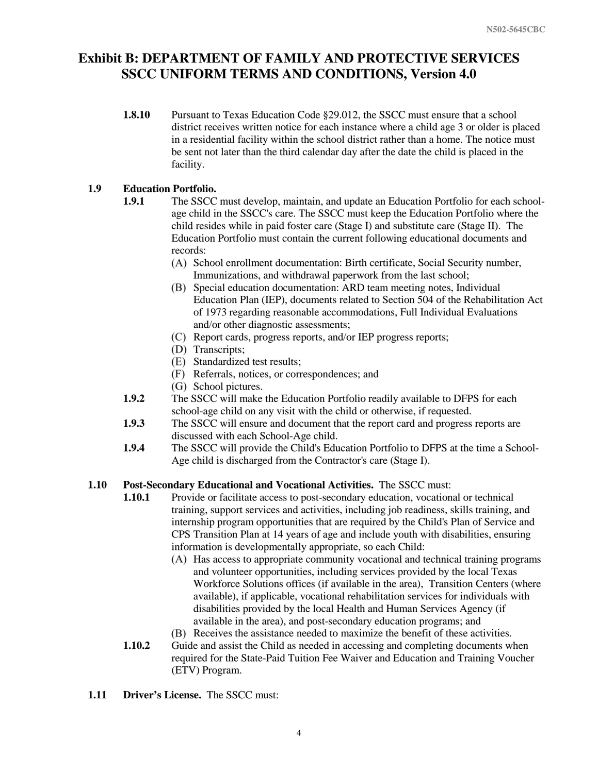**1.8.10** Pursuant to Texas Education Code §29.012, the SSCC must ensure that a school district receives written notice for each instance where a child age 3 or older is placed in a residential facility within the school district rather than a home. The notice must be sent not later than the third calendar day after the date the child is placed in the facility.

#### **1.9 Education Portfolio.**

- **1.9.1** The SSCC must develop, maintain, and update an Education Portfolio for each schoolage child in the SSCC's care. The SSCC must keep the Education Portfolio where the child resides while in paid foster care (Stage I) and substitute care (Stage II). The Education Portfolio must contain the current following educational documents and records:
	- (A) School enrollment documentation: Birth certificate, Social Security number, Immunizations, and withdrawal paperwork from the last school;
	- Special education documentation: ARD team meeting notes, Individual Education Plan (IEP), documents related to Section 504 of the Rehabilitation Act of 1973 regarding reasonable accommodations, Full Individual Evaluations and/or other diagnostic assessments;
	- Report cards, progress reports, and/or IEP progress reports;
	- (D) Transcripts;
	- Standardized test results;
	- Referrals, notices, or correspondences; and
	- (G) School pictures.
- **1.9.2** The SSCC will make the Education Portfolio readily available to DFPS for each school-age child on any visit with the child or otherwise, if requested.
- **1.9.3** The SSCC will ensure and document that the report card and progress reports are discussed with each School-Age child.
- **1.9.4** The SSCC will provide the Child's Education Portfolio to DFPS at the time a School-Age child is discharged from the Contractor's care (Stage I).

### **1.10 Post-Secondary Educational and Vocational Activities.** The SSCC must:

- **1.10.1** Provide or facilitate access to post-secondary education, vocational or technical training, support services and activities, including job readiness, skills training, and internship program opportunities that are required by the Child's Plan of Service and CPS Transition Plan at 14 years of age and include youth with disabilities, ensuring information is developmentally appropriate, so each Child:
	- (A) Has access to appropriate community vocational and technical training programs and volunteer opportunities, including services provided by the local Texas Workforce Solutions offices (if available in the area), Transition Centers (where available), if applicable, vocational rehabilitation services for individuals with disabilities provided by the local Health and Human Services Agency (if available in the area), and post-secondary education programs; and
	- (B) Receives the assistance needed to maximize the benefit of these activities.
- **1.10.2** Guide and assist the Child as needed in accessing and completing documents when required for the State-Paid Tuition Fee Waiver and Education and Training Voucher (ETV) Program.
- **1.11 Driver's License.** The SSCC must: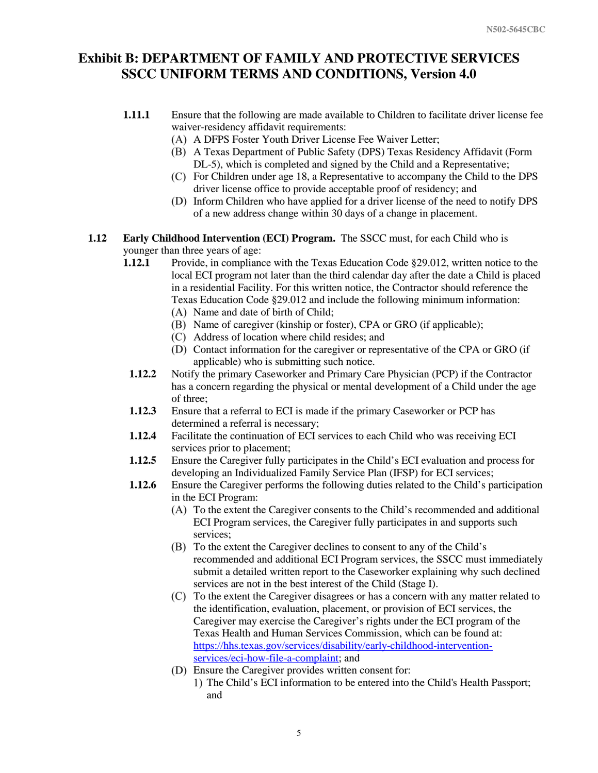- **1.11.1** Ensure that the following are made available to Children to facilitate driver license fee waiver-residency affidavit requirements:
	- A DFPS Foster Youth Driver License Fee Waiver Letter;
	- A Texas Department of Public Safety (DPS) Texas Residency Affidavit (Form DL-5), which is completed and signed by the Child and a Representative;
	- For Children under age 18, a Representative to accompany the Child to the DPS driver license office to provide acceptable proof of residency; and
	- Inform Children who have applied for a driver license of the need to notify DPS of a new address change within 30 days of a change in placement.
- **1.12 Early Childhood Intervention (ECI) Program.** The SSCC must, for each Child who is younger than three years of age:
	- **1.12.1** Provide, in compliance with the Texas Education Code §29.012, written notice to the local ECI program not later than the third calendar day after the date a Child is placed in a residential Facility. For this written notice, the Contractor should reference the Texas Education Code §29.012 and include the following minimum information:
		- (A) Name and date of birth of Child;
		- (B) Name of caregiver (kinship or foster), CPA or GRO (if applicable);
		- Address of location where child resides; and
		- (D) Contact information for the caregiver or representative of the CPA or GRO (if applicable) who is submitting such notice.
	- **1.12.2** Notify the primary Caseworker and Primary Care Physician (PCP) if the Contractor has a concern regarding the physical or mental development of a Child under the age of three;
	- **1.12.3** Ensure that a referral to ECI is made if the primary Caseworker or PCP has determined a referral is necessary;
	- **1.12.4** Facilitate the continuation of ECI services to each Child who was receiving ECI services prior to placement;
	- **1.12.5** Ensure the Caregiver fully participates in the Child's ECI evaluation and process for developing an Individualized Family Service Plan (IFSP) for ECI services;
	- **1.12.6** Ensure the Caregiver performs the following duties related to the Child's participation in the ECI Program:
		- To the extent the Caregiver consents to the Child's recommended and additional ECI Program services, the Caregiver fully participates in and supports such services;
		- (B) To the extent the Caregiver declines to consent to any of the Child's recommended and additional ECI Program services, the SSCC must immediately submit a detailed written report to the Caseworker explaining why such declined services are not in the best interest of the Child (Stage I).
		- To the extent the Caregiver disagrees or has a concern with any matter related to the identification, evaluation, placement, or provision of ECI services, the Caregiver may exercise the Caregiver's rights under the ECI program of the Texas Health and Human Services Commission, which can be found at: [https://hhs.texas.gov/services/disability/early-childhood-intervention](https://hhs.texas.gov/services/disability/early-childhood-intervention-services/eci-how-file-a-complaint)[services/eci-how-file-a-complaint;](https://hhs.texas.gov/services/disability/early-childhood-intervention-services/eci-how-file-a-complaint) and
		- (D) Ensure the Caregiver provides written consent for:
			- 1) The Child's ECI information to be entered into the Child's Health Passport; and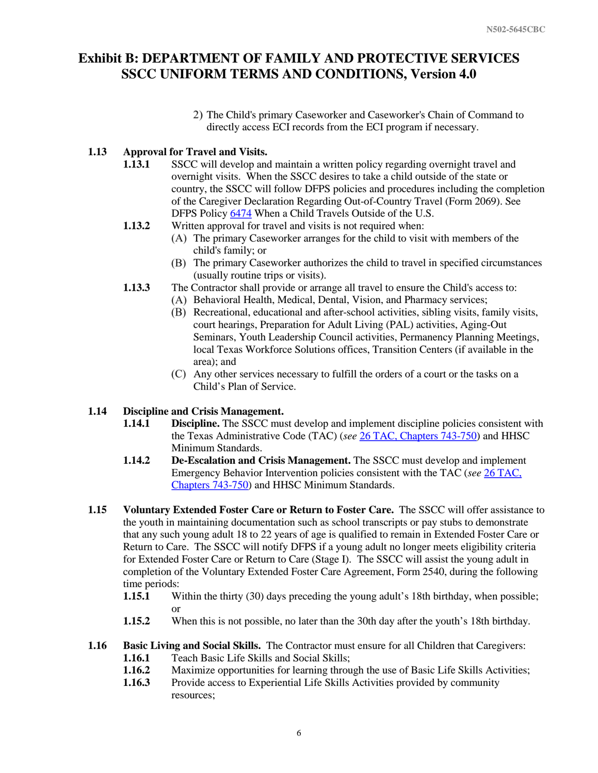The Child's primary Caseworker and Caseworker's Chain of Command to directly access ECI records from the ECI program if necessary.

### **1.13 Approval for Travel and Visits.**

- **1.13.1** SSCC will develop and maintain a written policy regarding overnight travel and overnight visits. When the SSCC desires to take a child outside of the state or country, the SSCC will follow DFPS policies and procedures including the completion of the Caregiver Declaration Regarding Out-of-Country Travel (Form 2069). See DFPS Policy [6474](http://www.dfps.state.tx.us/handbooks/CPS/Files/CPS_pg_6400.asp#CPS_6474) When a Child Travels Outside of the U.S.
- **1.13.2** Written approval for travel and visits is not required when:
	- (A) The primary Caseworker arranges for the child to visit with members of the child's family; or
	- The primary Caseworker authorizes the child to travel in specified circumstances (usually routine trips or visits).
- **1.13.3** The Contractor shall provide or arrange all travel to ensure the Child's access to:
	- (A) Behavioral Health, Medical, Dental, Vision, and Pharmacy services;
		- Recreational, educational and after-school activities, sibling visits, family visits, court hearings, Preparation for Adult Living (PAL) activities, Aging-Out Seminars, Youth Leadership Council activities, Permanency Planning Meetings, local Texas Workforce Solutions offices, Transition Centers (if available in the area); and
		- Any other services necessary to fulfill the orders of a court or the tasks on a Child's Plan of Service.

### **1.14 Discipline and Crisis Management.**

- **1.14.1 Discipline.** The SSCC must develop and implement discipline policies consistent with the Texas Administrative Code (TAC) (*see* [26 TAC, Chapters 743-750\)](https://texreg.sos.state.tx.us/public/readtac$ext.ViewTAC?tac_view=3&ti=26&pt=1) and HHSC Minimum Standards.
- **1.14.2 De-Escalation and Crisis Management.** The SSCC must develop and implement Emergency Behavior Intervention policies consistent with the TAC (*see* [26 TAC,](https://texreg.sos.state.tx.us/public/readtac$ext.ViewTAC?tac_view=3&ti=26&pt=1)  [Chapters 743-750\)](https://texreg.sos.state.tx.us/public/readtac$ext.ViewTAC?tac_view=3&ti=26&pt=1) and HHSC Minimum Standards.
- **1.15 Voluntary Extended Foster Care or Return to Foster Care.** The SSCC will offer assistance to the youth in maintaining documentation such as school transcripts or pay stubs to demonstrate that any such young adult 18 to 22 years of age is qualified to remain in Extended Foster Care or Return to Care. The SSCC will notify DFPS if a young adult no longer meets eligibility criteria for Extended Foster Care or Return to Care (Stage I). The SSCC will assist the young adult in completion of the Voluntary Extended Foster Care Agreement, Form 2540, during the following time periods:
	- **1.15.1** Within the thirty (30) days preceding the young adult's 18th birthday, when possible; or
	- **1.15.2** When this is not possible, no later than the 30th day after the youth's 18th birthday.

### **1.16 Basic Living and Social Skills.** The Contractor must ensure for all Children that Caregivers:

- **1.16.1** Teach Basic Life Skills and Social Skills;
- **1.16.2** Maximize opportunities for learning through the use of Basic Life Skills Activities;
- **1.16.3** Provide access to Experiential Life Skills Activities provided by community resources;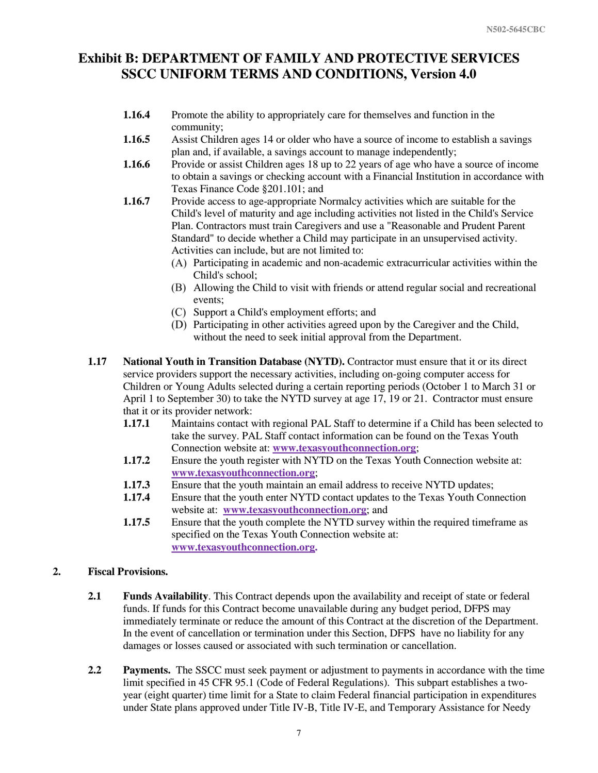- **1.16.4** Promote the ability to appropriately care for themselves and function in the community;
- **1.16.5** Assist Children ages 14 or older who have a source of income to establish a savings plan and, if available, a savings account to manage independently;
- **1.16.6** Provide or assist Children ages 18 up to 22 years of age who have a source of income to obtain a savings or checking account with a Financial Institution in accordance with Texas Finance Code §201.101; and
- **1.16.7** Provide access to age-appropriate Normalcy activities which are suitable for the Child's level of maturity and age including activities not listed in the Child's Service Plan. Contractors must train Caregivers and use a "Reasonable and Prudent Parent Standard" to decide whether a Child may participate in an unsupervised activity. Activities can include, but are not limited to:
	- Participating in academic and non-academic extracurricular activities within the Child's school;
	- Allowing the Child to visit with friends or attend regular social and recreational events;
	- Support a Child's employment efforts; and
	- (D) Participating in other activities agreed upon by the Caregiver and the Child, without the need to seek initial approval from the Department.
- **1.17 National Youth in Transition Database (NYTD).** Contractor must ensure that it or its direct service providers support the necessary activities, including on-going computer access for Children or Young Adults selected during a certain reporting periods (October 1 to March 31 or April 1 to September 30) to take the NYTD survey at age 17, 19 or 21. Contractor must ensure that it or its provider network:
	- **1.17.1** Maintains contact with regional PAL Staff to determine if a Child has been selected to take the survey. PAL Staff contact information can be found on the Texas Youth Connection website at: **[www.texasyouthconnection.org](http://www.texasyouthconnection.org/)**;
	- **1.17.2** Ensure the youth register with NYTD on the Texas Youth Connection website at: **[www.texasyouthconnection.org](http://www.texasyouthconnection.org/)**;
	- **1.17.3** Ensure that the youth maintain an email address to receive NYTD updates;
	- **1.17.4** Ensure that the youth enter NYTD contact updates to the Texas Youth Connection website at: **[www.texasyouthconnection.org](http://www.texasyouthconnection.org/)**; and
	- **1.17.5** Ensure that the youth complete the NYTD survey within the required timeframe as specified on the Texas Youth Connection website at: **[www.texasyouthconnection.org.](http://www.texasyouthconnection.org/)**

### **2. Fiscal Provisions.**

- **2.1 Funds Availability**. This Contract depends upon the availability and receipt of state or federal funds. If funds for this Contract become unavailable during any budget period, DFPS may immediately terminate or reduce the amount of this Contract at the discretion of the Department. In the event of cancellation or termination under this Section, DFPS have no liability for any damages or losses caused or associated with such termination or cancellation.
- **2.2 Payments.** The SSCC must seek payment or adjustment to payments in accordance with the time limit specified in [45 CFR 95.1](http://frwebgate.access.gpo.gov/cgi-bin/get-cfr.cgi?TITLE=45&PART=95&SECTION=1&YEAR=2000&TYPE=TEXT) (Code of Federal Regulations). This subpart establishes a twoyear (eight quarter) time limit for a State to claim Federal financial participation in expenditures under State plans approved under Title IV-B, Title IV-E, and Temporary Assistance for Needy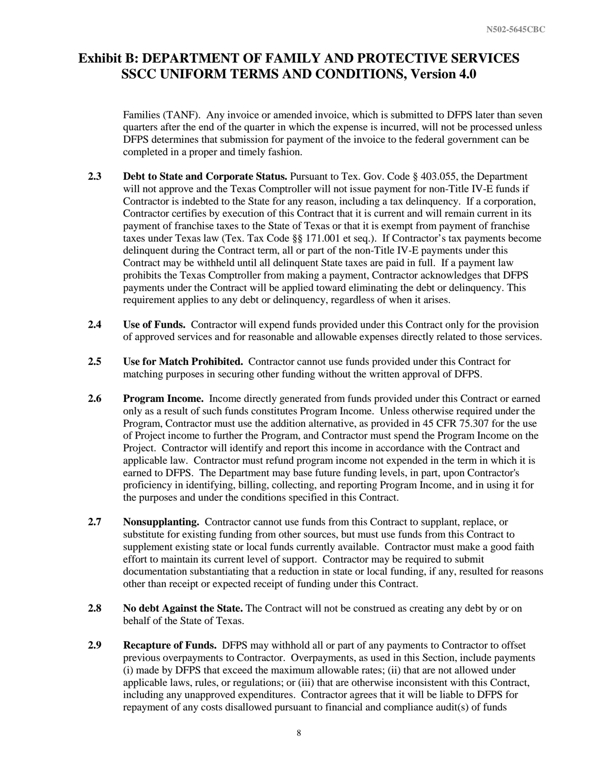Families (TANF). Any invoice or amended invoice, which is submitted to DFPS later than seven quarters after the end of the quarter in which the expense is incurred, will not be processed unless DFPS determines that submission for payment of the invoice to the federal government can be completed in a proper and timely fashion.

- **2.3 Debt to State and Corporate Status.** Pursuant to Tex. Gov. Code § 403.055, the Department will not approve and the Texas Comptroller will not issue payment for non-Title IV-E funds if Contractor is indebted to the State for any reason, including a tax delinquency. If a corporation, Contractor certifies by execution of this Contract that it is current and will remain current in its payment of franchise taxes to the State of Texas or that it is exempt from payment of franchise taxes under Texas law (Tex. Tax Code §§ 171.001 et seq.). If Contractor's tax payments become delinquent during the Contract term, all or part of the non-Title IV-E payments under this Contract may be withheld until all delinquent State taxes are paid in full. If a payment law prohibits the Texas Comptroller from making a payment, Contractor acknowledges that DFPS payments under the Contract will be applied toward eliminating the debt or delinquency. This requirement applies to any debt or delinquency, regardless of when it arises.
- **2.4 Use of Funds.** Contractor will expend funds provided under this Contract only for the provision of approved services and for reasonable and allowable expenses directly related to those services.
- **2.5 Use for Match Prohibited.** Contractor cannot use funds provided under this Contract for matching purposes in securing other funding without the written approval of DFPS.
- **2.6 Program Income.** Income directly generated from funds provided under this Contract or earned only as a result of such funds constitutes Program Income. Unless otherwise required under the Program, Contractor must use the addition alternative, as provided in 45 CFR 75.307 for the use of Project income to further the Program, and Contractor must spend the Program Income on the Project. Contractor will identify and report this income in accordance with the Contract and applicable law. Contractor must refund program income not expended in the term in which it is earned to DFPS. The Department may base future funding levels, in part, upon Contractor's proficiency in identifying, billing, collecting, and reporting Program Income, and in using it for the purposes and under the conditions specified in this Contract.
- **2.7 Nonsupplanting.** Contractor cannot use funds from this Contract to supplant, replace, or substitute for existing funding from other sources, but must use funds from this Contract to supplement existing state or local funds currently available. Contractor must make a good faith effort to maintain its current level of support. Contractor may be required to submit documentation substantiating that a reduction in state or local funding, if any, resulted for reasons other than receipt or expected receipt of funding under this Contract.
- **2.8 No debt Against the State.** The Contract will not be construed as creating any debt by or on behalf of the State of Texas.
- **2.9 Recapture of Funds.** DFPS may withhold all or part of any payments to Contractor to offset previous overpayments to Contractor. Overpayments, as used in this Section, include payments (i) made by DFPS that exceed the maximum allowable rates; (ii) that are not allowed under applicable laws, rules, or regulations; or (iii) that are otherwise inconsistent with this Contract, including any unapproved expenditures. Contractor agrees that it will be liable to DFPS for repayment of any costs disallowed pursuant to financial and compliance audit(s) of funds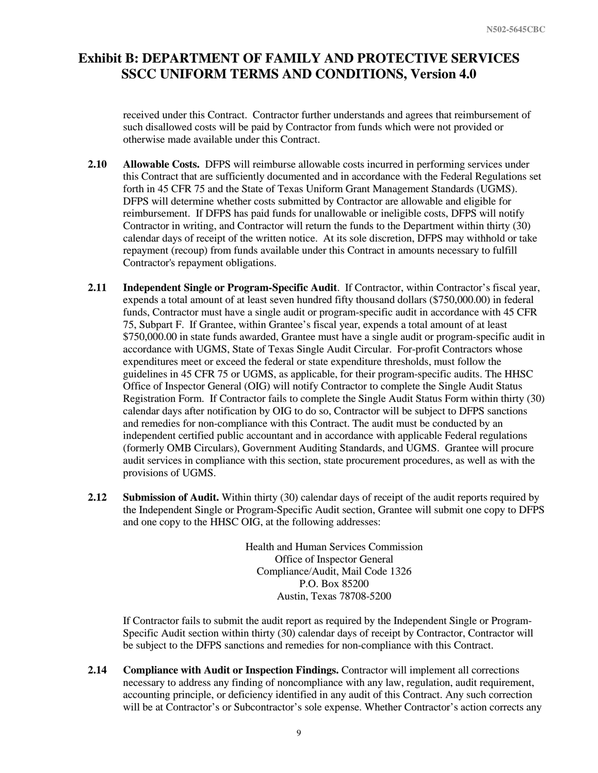received under this Contract. Contractor further understands and agrees that reimbursement of such disallowed costs will be paid by Contractor from funds which were not provided or otherwise made available under this Contract.

- **2.10 Allowable Costs.** DFPS will reimburse allowable costs incurred in performing services under this Contract that are sufficiently documented and in accordance with the Federal Regulations set forth in 45 CFR 75 and the State of Texas Uniform Grant Management Standards (UGMS). DFPS will determine whether costs submitted by Contractor are allowable and eligible for reimbursement. If DFPS has paid funds for unallowable or ineligible costs, DFPS will notify Contractor in writing, and Contractor will return the funds to the Department within thirty (30) calendar days of receipt of the written notice. At its sole discretion, DFPS may withhold or take repayment (recoup) from funds available under this Contract in amounts necessary to fulfill Contractor's repayment obligations.
- **2.11 Independent Single or Program-Specific Audit**. If Contractor, within Contractor's fiscal year, expends a total amount of at least seven hundred fifty thousand dollars (\$750,000.00) in federal funds, Contractor must have a single audit or program-specific audit in accordance with 45 CFR 75, Subpart F. If Grantee, within Grantee's fiscal year, expends a total amount of at least \$750,000.00 in state funds awarded, Grantee must have a single audit or program-specific audit in accordance with UGMS, State of Texas Single Audit Circular. For-profit Contractors whose expenditures meet or exceed the federal or state expenditure thresholds, must follow the guidelines in 45 CFR 75 or UGMS, as applicable, for their program-specific audits. The HHSC Office of Inspector General (OIG) will notify Contractor to complete the Single Audit Status Registration Form. If Contractor fails to complete the Single Audit Status Form within thirty (30) calendar days after notification by OIG to do so, Contractor will be subject to DFPS sanctions and remedies for non-compliance with this Contract. The audit must be conducted by an independent certified public accountant and in accordance with applicable Federal regulations (formerly OMB Circulars), Government Auditing Standards, and UGMS. Grantee will procure audit services in compliance with this section, state procurement procedures, as well as with the provisions of UGMS.
- **2.12 Submission of Audit.** Within thirty (30) calendar days of receipt of the audit reports required by the Independent Single or Program-Specific Audit section, Grantee will submit one copy to DFPS and one copy to the HHSC OIG, at the following addresses:

Health and Human Services Commission Office of Inspector General Compliance/Audit, Mail Code 1326 P.O. Box 85200 Austin, Texas 78708-5200

If Contractor fails to submit the audit report as required by the Independent Single or Program-Specific Audit section within thirty (30) calendar days of receipt by Contractor, Contractor will be subject to the DFPS sanctions and remedies for non-compliance with this Contract.

**2.14 Compliance with Audit or Inspection Findings.** Contractor will implement all corrections necessary to address any finding of noncompliance with any law, regulation, audit requirement, accounting principle, or deficiency identified in any audit of this Contract. Any such correction will be at Contractor's or Subcontractor's sole expense. Whether Contractor's action corrects any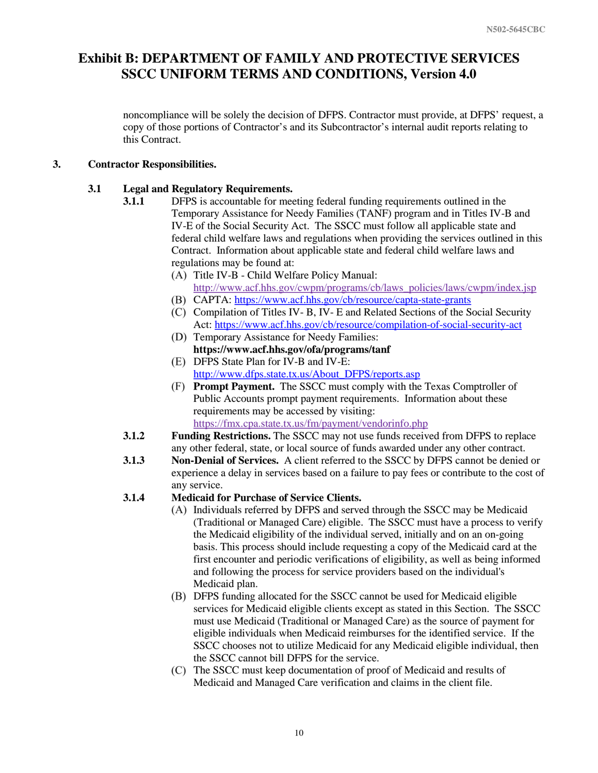noncompliance will be solely the decision of DFPS. Contractor must provide, at DFPS' request, a copy of those portions of Contractor's and its Subcontractor's internal audit reports relating to this Contract.

#### **3. Contractor Responsibilities.**

#### **3.1 Legal and Regulatory Requirements.**

- **3.1.1** DFPS is accountable for meeting federal funding requirements outlined in the Temporary Assistance for Needy Families (TANF) program and in Titles IV-B and IV-E of the Social Security Act. The SSCC must follow all applicable state and federal child welfare laws and regulations when providing the services outlined in this Contract. Information about applicable state and federal child welfare laws and regulations may be found at:
	- (A) Title IV-B Child Welfare Policy Manual: [http://www.acf.hhs.gov/cwpm/programs/cb/laws\\_policies/laws/cwpm/index.jsp](http://www.acf.hhs.gov/cwpm/programs/cb/laws_policies/laws/cwpm/index.jsp)
	- (B) CAPTA: <https://www.acf.hhs.gov/cb/resource/capta-state-grants>
	- (C) Compilation of Titles IV- B, IV- E and Related Sections of the Social Security Act: <https://www.acf.hhs.gov/cb/resource/compilation-of-social-security-act>
	- (D) Temporary Assistance for Needy Families: **https://www.acf.hhs.gov/ofa/programs/tanf**
	- DFPS State Plan for IV-B and IV-E: [http://www.dfps.state.tx.us/About\\_DFPS/reports.asp](http://www.dfps.state.tx.us/About_DFPS/reports.asp)
	- **Prompt Payment.** The SSCC must comply with the Texas Comptroller of Public Accounts prompt payment requirements. Information about these requirements may be accessed by visiting: <https://fmx.cpa.state.tx.us/fm/payment/vendorinfo.php>
	- **3.1.2 Funding Restrictions.** The SSCC may not use funds received from DFPS to replace any other federal, state, or local source of funds awarded under any other contract.
	- **3.1.3 Non-Denial of Services.** A client referred to the SSCC by DFPS cannot be denied or experience a delay in services based on a failure to pay fees or contribute to the cost of any service.
	- **3.1.4 Medicaid for Purchase of Service Clients.**
		- (A) Individuals referred by DFPS and served through the SSCC may be Medicaid (Traditional or Managed Care) eligible. The SSCC must have a process to verify the Medicaid eligibility of the individual served, initially and on an on-going basis. This process should include requesting a copy of the Medicaid card at the first encounter and periodic verifications of eligibility, as well as being informed and following the process for service providers based on the individual's Medicaid plan.
		- DFPS funding allocated for the SSCC cannot be used for Medicaid eligible services for Medicaid eligible clients except as stated in this Section. The SSCC must use Medicaid (Traditional or Managed Care) as the source of payment for eligible individuals when Medicaid reimburses for the identified service. If the SSCC chooses not to utilize Medicaid for any Medicaid eligible individual, then the SSCC cannot bill DFPS for the service.
		- The SSCC must keep documentation of proof of Medicaid and results of Medicaid and Managed Care verification and claims in the client file.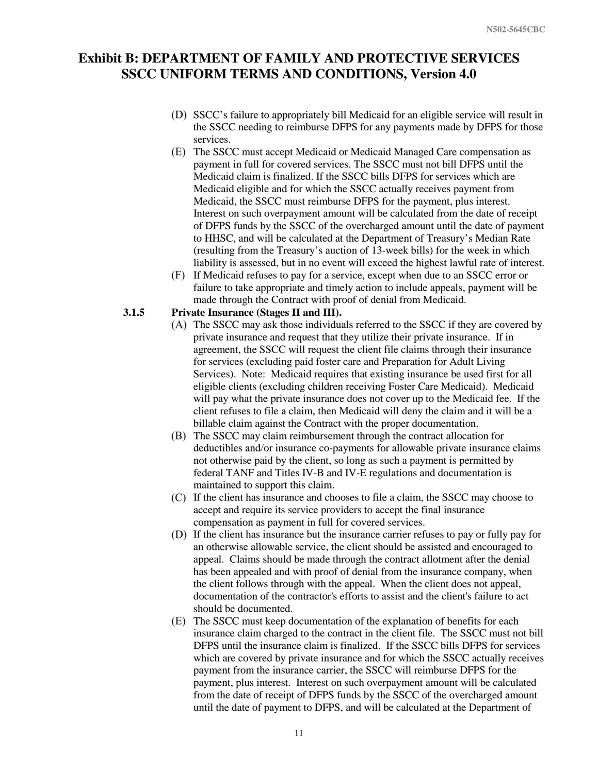- SSCC's failure to appropriately bill Medicaid for an eligible service will result in the SSCC needing to reimburse DFPS for any payments made by DFPS for those services.
- The SSCC must accept Medicaid or Medicaid Managed Care compensation as payment in full for covered services. The SSCC must not bill DFPS until the Medicaid claim is finalized. If the SSCC bills DFPS for services which are Medicaid eligible and for which the SSCC actually receives payment from Medicaid, the SSCC must reimburse DFPS for the payment, plus interest. Interest on such overpayment amount will be calculated from the date of receipt of DFPS funds by the SSCC of the overcharged amount until the date of payment to HHSC, and will be calculated at the Department of Treasury's Median Rate (resulting from the Treasury's auction of 13-week bills) for the week in which liability is assessed, but in no event will exceed the highest lawful rate of interest.
- If Medicaid refuses to pay for a service, except when due to an SSCC error or failure to take appropriate and timely action to include appeals, payment will be made through the Contract with proof of denial from Medicaid.

#### **3.1.5 Private Insurance (Stages II and III).**

- $(A)$  The SSCC may ask those individuals referred to the SSCC if they are covered by private insurance and request that they utilize their private insurance. If in agreement, the SSCC will request the client file claims through their insurance for services (excluding paid foster care and Preparation for Adult Living Services). Note: Medicaid requires that existing insurance be used first for all eligible clients (excluding children receiving Foster Care Medicaid). Medicaid will pay what the private insurance does not cover up to the Medicaid fee. If the client refuses to file a claim, then Medicaid will deny the claim and it will be a billable claim against the Contract with the proper documentation.
- (B) The SSCC may claim reimbursement through the contract allocation for deductibles and/or insurance co-payments for allowable private insurance claims not otherwise paid by the client, so long as such a payment is permitted by federal TANF and Titles IV-B and IV-E regulations and documentation is maintained to support this claim.
- If the client has insurance and chooses to file a claim, the SSCC may choose to accept and require its service providers to accept the final insurance compensation as payment in full for covered services.
- If the client has insurance but the insurance carrier refuses to pay or fully pay for an otherwise allowable service, the client should be assisted and encouraged to appeal. Claims should be made through the contract allotment after the denial has been appealed and with proof of denial from the insurance company, when the client follows through with the appeal. When the client does not appeal, documentation of the contractor's efforts to assist and the client's failure to act should be documented.
- The SSCC must keep documentation of the explanation of benefits for each insurance claim charged to the contract in the client file. The SSCC must not bill DFPS until the insurance claim is finalized. If the SSCC bills DFPS for services which are covered by private insurance and for which the SSCC actually receives payment from the insurance carrier, the SSCC will reimburse DFPS for the payment, plus interest. Interest on such overpayment amount will be calculated from the date of receipt of DFPS funds by the SSCC of the overcharged amount until the date of payment to DFPS, and will be calculated at the Department of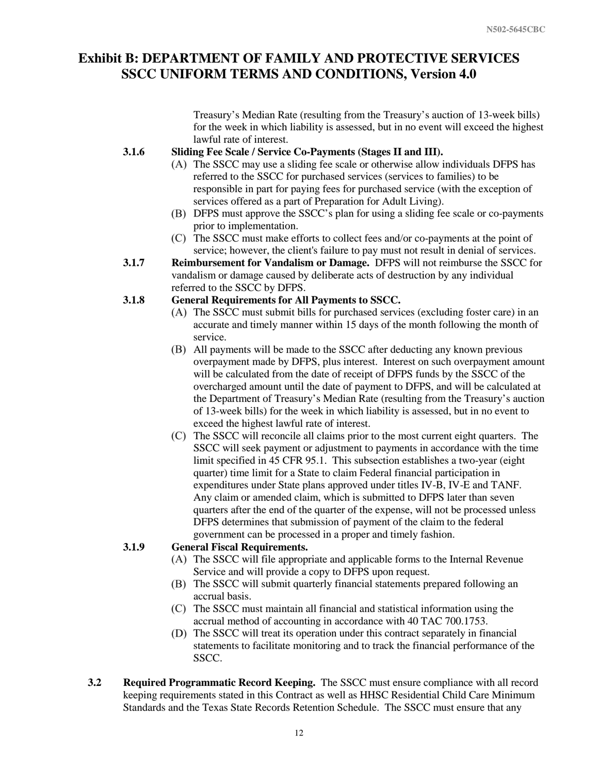Treasury's Median Rate (resulting from the Treasury's auction of 13-week bills) for the week in which liability is assessed, but in no event will exceed the highest lawful rate of interest.

#### **3.1.6 Sliding Fee Scale / Service Co-Payments (Stages II and III).**

- (A) The SSCC may use a sliding fee scale or otherwise allow individuals DFPS has referred to the SSCC for purchased services (services to families) to be responsible in part for paying fees for purchased service (with the exception of services offered as a part of Preparation for Adult Living).
- DFPS must approve the SSCC's plan for using a sliding fee scale or co-payments prior to implementation.
- The SSCC must make efforts to collect fees and/or co-payments at the point of service; however, the client's failure to pay must not result in denial of services.
- **3.1.7 Reimbursement for Vandalism or Damage.** DFPS will not reimburse the SSCC for vandalism or damage caused by deliberate acts of destruction by any individual referred to the SSCC by DFPS.

#### **3.1.8 General Requirements for All Payments to SSCC.**

- $(A)$  The SSCC must submit bills for purchased services (excluding foster care) in an accurate and timely manner within 15 days of the month following the month of service.
- All payments will be made to the SSCC after deducting any known previous overpayment made by DFPS, plus interest. Interest on such overpayment amount will be calculated from the date of receipt of DFPS funds by the SSCC of the overcharged amount until the date of payment to DFPS, and will be calculated at the Department of Treasury's Median Rate (resulting from the Treasury's auction of 13-week bills) for the week in which liability is assessed, but in no event to exceed the highest lawful rate of interest.
- The SSCC will reconcile all claims prior to the most current eight quarters. The SSCC will seek payment or adjustment to payments in accordance with the time limit specified in 45 CFR 95.1. This subsection establishes a two-year (eight quarter) time limit for a State to claim Federal financial participation in expenditures under State plans approved under titles IV-B, IV-E and TANF. Any claim or amended claim, which is submitted to DFPS later than seven quarters after the end of the quarter of the expense, will not be processed unless DFPS determines that submission of payment of the claim to the federal government can be processed in a proper and timely fashion.

### **3.1.9 General Fiscal Requirements.**

- (A) The SSCC will file appropriate and applicable forms to the Internal Revenue Service and will provide a copy to DFPS upon request.
- (B) The SSCC will submit quarterly financial statements prepared following an accrual basis.
- (C) The SSCC must maintain all financial and statistical information using the accrual method of accounting in accordance with 40 TAC 700.1753.
- (D) The SSCC will treat its operation under this contract separately in financial statements to facilitate monitoring and to track the financial performance of the SSCC.
- **3.2 Required Programmatic Record Keeping.** The SSCC must ensure compliance with all record keeping requirements stated in this Contract as well as HHSC Residential Child Care Minimum Standards and the Texas State Records Retention Schedule. The SSCC must ensure that any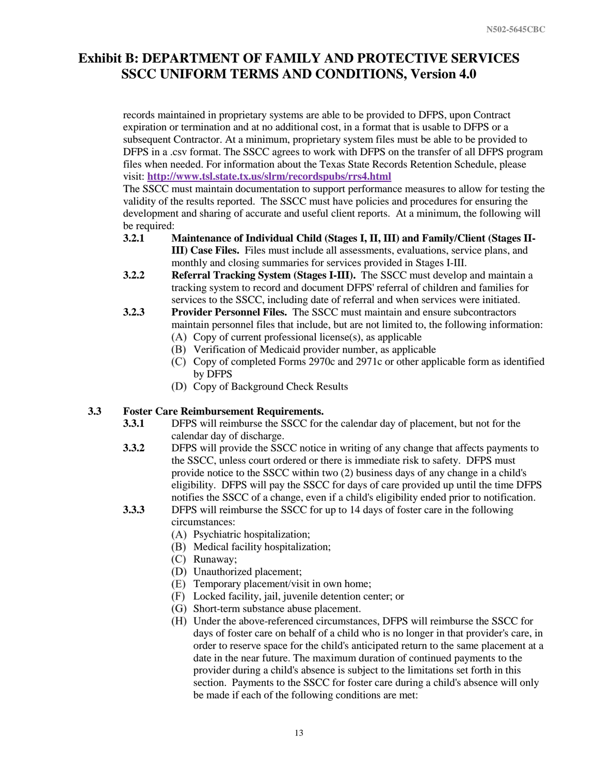records maintained in proprietary systems are able to be provided to DFPS, upon Contract expiration or termination and at no additional cost, in a format that is usable to DFPS or a subsequent Contractor. At a minimum, proprietary system files must be able to be provided to DFPS in a .csv format. The SSCC agrees to work with DFPS on the transfer of all DFPS program files when needed. For information about the Texas State Records Retention Schedule, please visit: **<http://www.tsl.state.tx.us/slrm/recordspubs/rrs4.html>**

The SSCC must maintain documentation to support performance measures to allow for testing the validity of the results reported. The SSCC must have policies and procedures for ensuring the development and sharing of accurate and useful client reports. At a minimum, the following will be required:

- **3.2.1 Maintenance of Individual Child (Stages I, II, III) and Family/Client (Stages II-III) Case Files.** Files must include all assessments, evaluations, service plans, and monthly and closing summaries for services provided in Stages I-III.
- **3.2.2 Referral Tracking System (Stages I-III).** The SSCC must develop and maintain a tracking system to record and document DFPS' referral of children and families for services to the SSCC, including date of referral and when services were initiated.
- **3.2.3 Provider Personnel Files.** The SSCC must maintain and ensure subcontractors maintain personnel files that include, but are not limited to, the following information:
	- $(A)$  Copy of current professional license $(s)$ , as applicable
	- Verification of Medicaid provider number, as applicable
	- Copy of completed Forms 2970c and 2971c or other applicable form as identified by DFPS
	- (D) Copy of Background Check Results

### **3.3 Foster Care Reimbursement Requirements.**

- **3.3.1** DFPS will reimburse the SSCC for the calendar day of placement, but not for the calendar day of discharge.
- **3.3.2** DFPS will provide the SSCC notice in writing of any change that affects payments to the SSCC, unless court ordered or there is immediate risk to safety. DFPS must provide notice to the SSCC within two (2) business days of any change in a child's eligibility. DFPS will pay the SSCC for days of care provided up until the time DFPS notifies the SSCC of a change, even if a child's eligibility ended prior to notification.
- **3.3.3** DFPS will reimburse the SSCC for up to 14 days of foster care in the following circumstances:
	- Psychiatric hospitalization;
	- (B) Medical facility hospitalization;
	- (C) Runaway;
	- (D) Unauthorized placement;
	- Temporary placement/visit in own home;
	- Locked facility, jail, juvenile detention center; or
	- (G) Short-term substance abuse placement.
	- Under the above-referenced circumstances, DFPS will reimburse the SSCC for days of foster care on behalf of a child who is no longer in that provider's care, in order to reserve space for the child's anticipated return to the same placement at a date in the near future. The maximum duration of continued payments to the provider during a child's absence is subject to the limitations set forth in this section. Payments to the SSCC for foster care during a child's absence will only be made if each of the following conditions are met: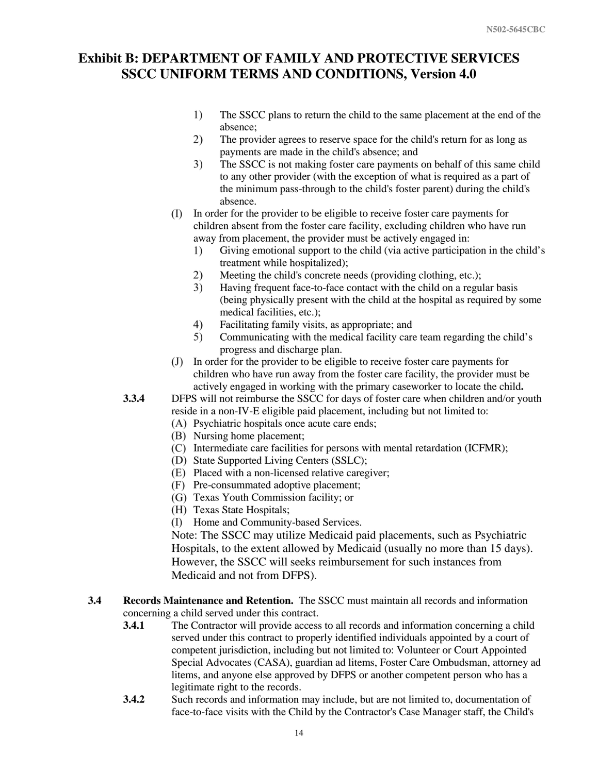- $1)$ The SSCC plans to return the child to the same placement at the end of the absence;
- $2)$ The provider agrees to reserve space for the child's return for as long as payments are made in the child's absence; and
- 3) The SSCC is not making foster care payments on behalf of this same child to any other provider (with the exception of what is required as a part of the minimum pass-through to the child's foster parent) during the child's absence.
- In order for the provider to be eligible to receive foster care payments for children absent from the foster care facility, excluding children who have run away from placement, the provider must be actively engaged in:
	- Giving emotional support to the child (via active participation in the child's  $\left( \right)$ treatment while hospitalized);
	- $2)$ Meeting the child's concrete needs (providing clothing, etc.);
	- Having frequent face-to-face contact with the child on a regular basis  $3)$ (being physically present with the child at the hospital as required by some medical facilities, etc.);
	- $4)$ Facilitating family visits, as appropriate; and
	- Communicating with the medical facility care team regarding the child's 5) progress and discharge plan.
- In order for the provider to be eligible to receive foster care payments for children who have run away from the foster care facility, the provider must be actively engaged in working with the primary caseworker to locate the child**.**
- **3.3.4** DFPS will not reimburse the SSCC for days of foster care when children and/or youth reside in a non-IV-E eligible paid placement, including but not limited to:
	- (A) Psychiatric hospitals once acute care ends;
	- (B) Nursing home placement;
	- Intermediate care facilities for persons with mental retardation (ICFMR);
	- (D) State Supported Living Centers (SSLC);
	- Placed with a non-licensed relative caregiver;
	- Pre-consummated adoptive placement;
	- Texas Youth Commission facility; or
	- (H) Texas State Hospitals;
	- Home and Community-based Services.

Note: The SSCC may utilize Medicaid paid placements, such as Psychiatric Hospitals, to the extent allowed by Medicaid (usually no more than 15 days). However, the SSCC will seeks reimbursement for such instances from Medicaid and not from DFPS).

- **3.4 Records Maintenance and Retention.** The SSCC must maintain all records and information concerning a child served under this contract.
	- **3.4.1** The Contractor will provide access to all records and information concerning a child served under this contract to properly identified individuals appointed by a court of competent jurisdiction, including but not limited to: Volunteer or Court Appointed Special Advocates (CASA), guardian ad litems, Foster Care Ombudsman, attorney ad litems, and anyone else approved by DFPS or another competent person who has a legitimate right to the records.
	- **3.4.2** Such records and information may include, but are not limited to, documentation of face-to-face visits with the Child by the Contractor's Case Manager staff, the Child's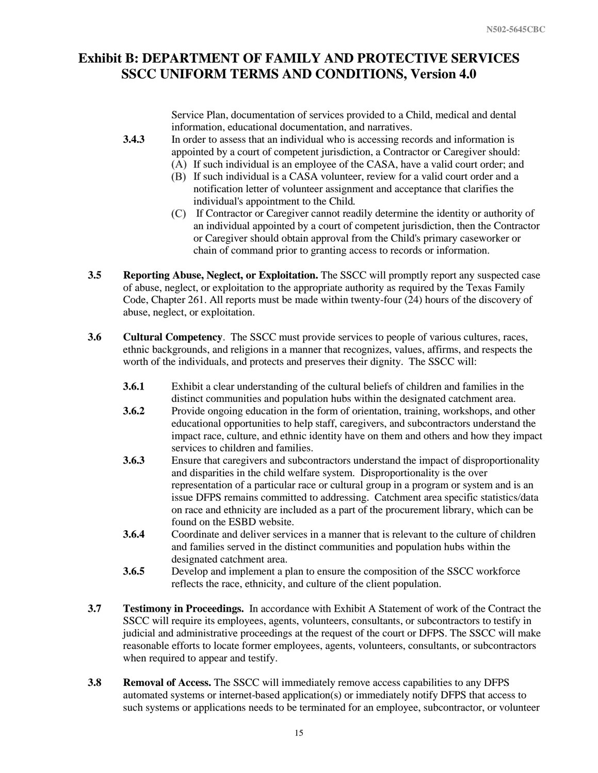Service Plan, documentation of services provided to a Child, medical and dental information, educational documentation, and narratives.

- **3.4.3** In order to assess that an individual who is accessing records and information is appointed by a court of competent jurisdiction, a Contractor or Caregiver should:
	- (A) If such individual is an employee of the CASA, have a valid court order; and
	- (B) If such individual is a CASA volunteer, review for a valid court order and a notification letter of volunteer assignment and acceptance that clarifies the individual's appointment to the Child*.*
	- If Contractor or Caregiver cannot readily determine the identity or authority of an individual appointed by a court of competent jurisdiction, then the Contractor or Caregiver should obtain approval from the Child's primary caseworker or chain of command prior to granting access to records or information.
- **3.5 Reporting Abuse, Neglect, or Exploitation.** The SSCC will promptly report any suspected case of abuse, neglect, or exploitation to the appropriate authority as required by the Texas Family Code, Chapter 261. All reports must be made within twenty-four (24) hours of the discovery of abuse, neglect, or exploitation.
- **3.6 Cultural Competency**. The SSCC must provide services to people of various cultures, races, ethnic backgrounds, and religions in a manner that recognizes, values, affirms, and respects the worth of the individuals, and protects and preserves their dignity. The SSCC will:
	- **3.6.1** Exhibit a clear understanding of the cultural beliefs of children and families in the distinct communities and population hubs within the designated catchment area.
	- **3.6.2** Provide ongoing education in the form of orientation, training, workshops, and other educational opportunities to help staff, caregivers, and subcontractors understand the impact race, culture, and ethnic identity have on them and others and how they impact services to children and families.
	- **3.6.3** Ensure that caregivers and subcontractors understand the impact of disproportionality and disparities in the child welfare system. Disproportionality is the over representation of a particular race or cultural group in a program or system and is an issue DFPS remains committed to addressing. Catchment area specific statistics/data on race and ethnicity are included as a part of the procurement library, which can be found on the ESBD website.
	- **3.6.4** Coordinate and deliver services in a manner that is relevant to the culture of children and families served in the distinct communities and population hubs within the designated catchment area.
	- **3.6.5** Develop and implement a plan to ensure the composition of the SSCC workforce reflects the race, ethnicity, and culture of the client population.
- **3.7 Testimony in Proceedings.** In accordance with Exhibit A Statement of work of the Contract the SSCC will require its employees, agents, volunteers, consultants, or subcontractors to testify in judicial and administrative proceedings at the request of the court or DFPS. The SSCC will make reasonable efforts to locate former employees, agents, volunteers, consultants, or subcontractors when required to appear and testify.
- **3.8 Removal of Access.** The SSCC will immediately remove access capabilities to any DFPS automated systems or internet-based application(s) or immediately notify DFPS that access to such systems or applications needs to be terminated for an employee, subcontractor, or volunteer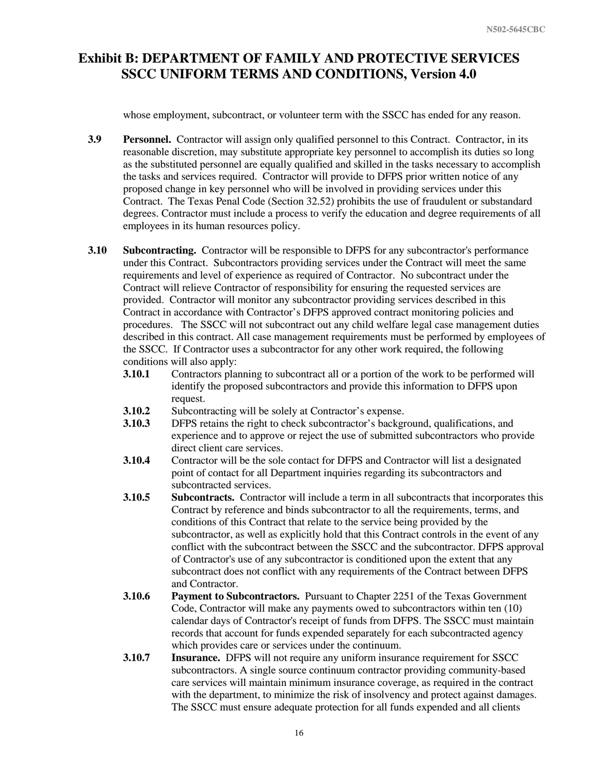whose employment, subcontract, or volunteer term with the SSCC has ended for any reason.

- **3.9 Personnel.** Contractor will assign only qualified personnel to this Contract. Contractor, in its reasonable discretion, may substitute appropriate key personnel to accomplish its duties so long as the substituted personnel are equally qualified and skilled in the tasks necessary to accomplish the tasks and services required. Contractor will provide to DFPS prior written notice of any proposed change in key personnel who will be involved in providing services under this Contract. The Texas Penal Code (Section 32.52) prohibits the use of fraudulent or substandard degrees. Contractor must include a process to verify the education and degree requirements of all employees in its human resources policy.
- **3.10 Subcontracting.** Contractor will be responsible to DFPS for any subcontractor's performance under this Contract. Subcontractors providing services under the Contract will meet the same requirements and level of experience as required of Contractor. No subcontract under the Contract will relieve Contractor of responsibility for ensuring the requested services are provided. Contractor will monitor any subcontractor providing services described in this Contract in accordance with Contractor's DFPS approved contract monitoring policies and procedures. The SSCC will not subcontract out any child welfare legal case management duties described in this contract. All case management requirements must be performed by employees of the SSCC. If Contractor uses a subcontractor for any other work required, the following conditions will also apply:
	- **3.10.1** Contractors planning to subcontract all or a portion of the work to be performed will identify the proposed subcontractors and provide this information to DFPS upon request.
	- **3.10.2** Subcontracting will be solely at Contractor's expense.
	- **3.10.3** DFPS retains the right to check subcontractor's background, qualifications, and experience and to approve or reject the use of submitted subcontractors who provide direct client care services.
	- **3.10.4** Contractor will be the sole contact for DFPS and Contractor will list a designated point of contact for all Department inquiries regarding its subcontractors and subcontracted services.
	- **3.10.5 Subcontracts.** Contractor will include a term in all subcontracts that incorporates this Contract by reference and binds subcontractor to all the requirements, terms, and conditions of this Contract that relate to the service being provided by the subcontractor, as well as explicitly hold that this Contract controls in the event of any conflict with the subcontract between the SSCC and the subcontractor. DFPS approval of Contractor's use of any subcontractor is conditioned upon the extent that any subcontract does not conflict with any requirements of the Contract between DFPS and Contractor.
	- **3.10.6 Payment to Subcontractors.** Pursuant to Chapter 2251 of the Texas Government Code, Contractor will make any payments owed to subcontractors within ten (10) calendar days of Contractor's receipt of funds from DFPS. The SSCC must maintain records that account for funds expended separately for each subcontracted agency which provides care or services under the continuum.
	- **3.10.7 Insurance.** DFPS will not require any uniform insurance requirement for SSCC subcontractors. A single source continuum contractor providing community-based care services will maintain minimum insurance coverage, as required in the contract with the department, to minimize the risk of insolvency and protect against damages. The SSCC must ensure adequate protection for all funds expended and all clients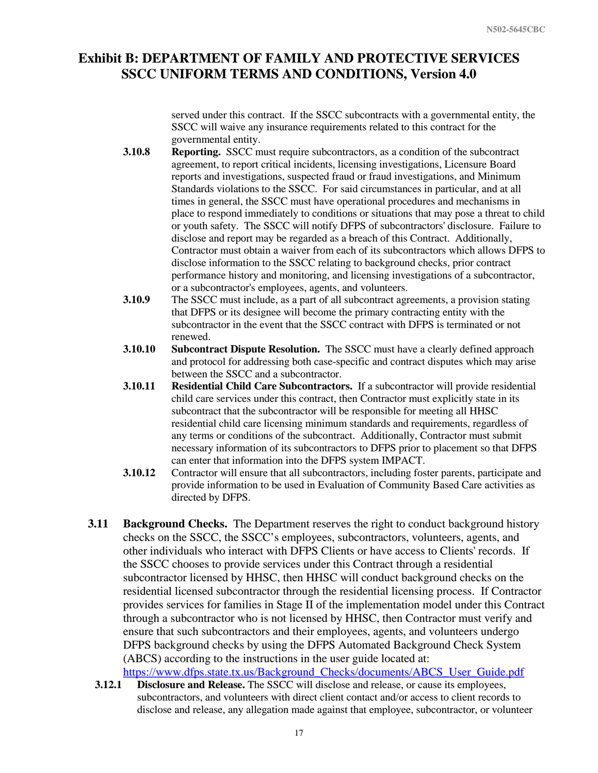served under this contract. If the SSCC subcontracts with a governmental entity, the SSCC will waive any insurance requirements related to this contract for the governmental entity.

- **3.10.8 Reporting.** SSCC must require subcontractors, as a condition of the subcontract agreement, to report critical incidents, licensing investigations, Licensure Board reports and investigations, suspected fraud or fraud investigations, and Minimum Standards violations to the SSCC. For said circumstances in particular, and at all times in general, the SSCC must have operational procedures and mechanisms in place to respond immediately to conditions or situations that may pose a threat to child or youth safety. The SSCC will notify DFPS of subcontractors' disclosure. Failure to disclose and report may be regarded as a breach of this Contract. Additionally, Contractor must obtain a waiver from each of its subcontractors which allows DFPS to disclose information to the SSCC relating to background checks, prior contract performance history and monitoring, and licensing investigations of a subcontractor, or a subcontractor's employees, agents, and volunteers.
- **3.10.9** The SSCC must include, as a part of all subcontract agreements, a provision stating that DFPS or its designee will become the primary contracting entity with the subcontractor in the event that the SSCC contract with DFPS is terminated or not renewed.
- **3.10.10 Subcontract Dispute Resolution.** The SSCC must have a clearly defined approach and protocol for addressing both case-specific and contract disputes which may arise between the SSCC and a subcontractor.
- **3.10.11 Residential Child Care Subcontractors.** If a subcontractor will provide residential child care services under this contract, then Contractor must explicitly state in its subcontract that the subcontractor will be responsible for meeting all HHSC residential child care licensing minimum standards and requirements, regardless of any terms or conditions of the subcontract. Additionally, Contractor must submit necessary information of its subcontractors to DFPS prior to placement so that DFPS can enter that information into the DFPS system IMPACT.
- **3.10.12** Contractor will ensure that all subcontractors, including foster parents, participate and provide information to be used in Evaluation of Community Based Care activities as directed by DFPS.
- **3.11 Background Checks.** The Department reserves the right to conduct background history checks on the SSCC, the SSCC's employees, subcontractors, volunteers, agents, and other individuals who interact with DFPS Clients or have access to Clients' records. If the SSCC chooses to provide services under this Contract through a residential subcontractor licensed by HHSC, then HHSC will conduct background checks on the residential licensed subcontractor through the residential licensing process. If Contractor provides services for families in Stage II of the implementation model under this Contract through a subcontractor who is not licensed by HHSC, then Contractor must verify and ensure that such subcontractors and their employees, agents, and volunteers undergo DFPS background checks by using the DFPS Automated Background Check System (ABCS) according to the instructions in the user guide located at: [https://www.dfps.state.tx.us/Background\\_Checks/documents/ABCS\\_User\\_Guide.pdf](https://www.dfps.state.tx.us/Background_Checks/documents/ABCS_User_Guide.pdf)
- **3.12.1 Disclosure and Release.** The SSCC will disclose and release, or cause its employees, subcontractors, and volunteers with direct client contact and/or access to client records to disclose and release, any allegation made against that employee, subcontractor, or volunteer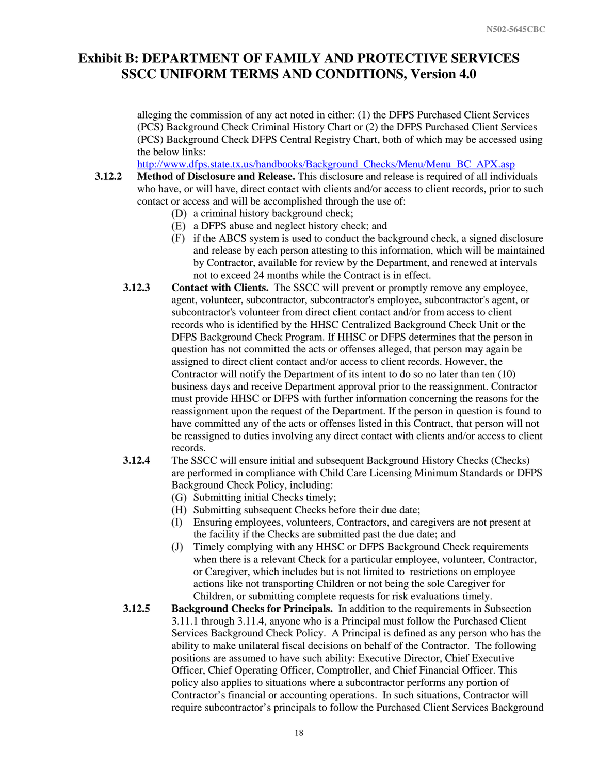alleging the commission of any act noted in either: (1) the DFPS Purchased Client Services (PCS) Background Check Criminal History Chart or (2) the DFPS Purchased Client Services (PCS) Background Check DFPS Central Registry Chart, both of which may be accessed using the below links:

[http://www.dfps.state.tx.us/handbooks/Background\\_Checks/Menu/Menu\\_BC\\_APX.asp](http://www.dfps.state.tx.us/handbooks/Background_Checks/Menu/Menu_BC_APX.asp)

- **3.12.2 Method of Disclosure and Release.** This disclosure and release is required of all individuals who have, or will have, direct contact with clients and/or access to client records, prior to such contact or access and will be accomplished through the use of:
	- (D) a criminal history background check;
	- a DFPS abuse and neglect history check; and
	- if the ABCS system is used to conduct the background check, a signed disclosure and release by each person attesting to this information, which will be maintained by Contractor, available for review by the Department, and renewed at intervals not to exceed 24 months while the Contract is in effect.
	- **3.12.3 Contact with Clients.** The SSCC will prevent or promptly remove any employee, agent, volunteer, subcontractor, subcontractor's employee, subcontractor's agent, or subcontractor's volunteer from direct client contact and/or from access to client records who is identified by the HHSC Centralized Background Check Unit or the DFPS Background Check Program. If HHSC or DFPS determines that the person in question has not committed the acts or offenses alleged, that person may again be assigned to direct client contact and/or access to client records. However, the Contractor will notify the Department of its intent to do so no later than ten (10) business days and receive Department approval prior to the reassignment. Contractor must provide HHSC or DFPS with further information concerning the reasons for the reassignment upon the request of the Department. If the person in question is found to have committed any of the acts or offenses listed in this Contract, that person will not be reassigned to duties involving any direct contact with clients and/or access to client records.
	- **3.12.4** The SSCC will ensure initial and subsequent Background History Checks (Checks) are performed in compliance with Child Care Licensing Minimum Standards or DFPS Background Check Policy, including:
		- (G) Submitting initial Checks timely;
		- (H) Submitting subsequent Checks before their due date;
		- Ensuring employees, volunteers, Contractors, and caregivers are not present at the facility if the Checks are submitted past the due date; and
		- Timely complying with any HHSC or DFPS Background Check requirements  $(J)$ when there is a relevant Check for a particular employee, volunteer, Contractor, or Caregiver, which includes but is not limited to restrictions on employee actions like not transporting Children or not being the sole Caregiver for Children, or submitting complete requests for risk evaluations timely.
	- **3.12.5 Background Checks for Principals.** In addition to the requirements in Subsection 3.11.1 through 3.11.4, anyone who is a Principal must follow the Purchased Client Services Background Check Policy. A Principal is defined as any person who has the ability to make unilateral fiscal decisions on behalf of the Contractor. The following positions are assumed to have such ability: Executive Director, Chief Executive Officer, Chief Operating Officer, Comptroller, and Chief Financial Officer. This policy also applies to situations where a subcontractor performs any portion of Contractor's financial or accounting operations. In such situations, Contractor will require subcontractor's principals to follow the Purchased Client Services Background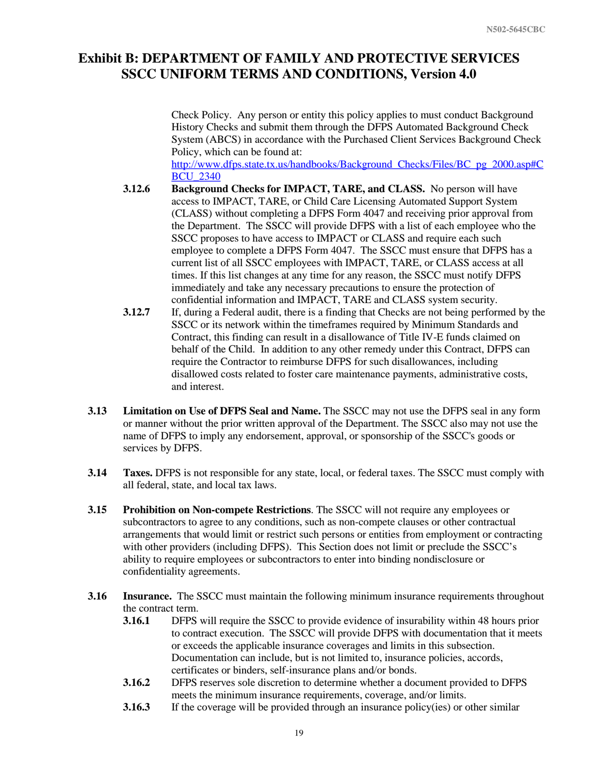Check Policy. Any person or entity this policy applies to must conduct Background History Checks and submit them through the DFPS Automated Background Check System (ABCS) in accordance with the Purchased Client Services Background Check Policy, which can be found at:

[http://www.dfps.state.tx.us/handbooks/Background\\_Checks/Files/BC\\_pg\\_2000.asp#C](http://www.dfps.state.tx.us/handbooks/Background_Checks/Files/BC_pg_2000.asp#CBCU_2340) [BCU\\_2340](http://www.dfps.state.tx.us/handbooks/Background_Checks/Files/BC_pg_2000.asp#CBCU_2340)

- **3.12.6 Background Checks for IMPACT, TARE, and CLASS.** No person will have access to IMPACT, TARE, or Child Care Licensing Automated Support System (CLASS) without completing a DFPS Form 4047 and receiving prior approval from the Department. The SSCC will provide DFPS with a list of each employee who the SSCC proposes to have access to IMPACT or CLASS and require each such employee to complete a DFPS Form 4047. The SSCC must ensure that DFPS has a current list of all SSCC employees with IMPACT, TARE, or CLASS access at all times. If this list changes at any time for any reason, the SSCC must notify DFPS immediately and take any necessary precautions to ensure the protection of confidential information and IMPACT, TARE and CLASS system security.
- **3.12.7** If, during a Federal audit, there is a finding that Checks are not being performed by the SSCC or its network within the timeframes required by Minimum Standards and Contract, this finding can result in a disallowance of Title IV-E funds claimed on behalf of the Child. In addition to any other remedy under this Contract, DFPS can require the Contractor to reimburse DFPS for such disallowances, including disallowed costs related to foster care maintenance payments, administrative costs, and interest.
- **3.13 Limitation on Use of DFPS Seal and Name.** The SSCC may not use the DFPS seal in any form or manner without the prior written approval of the Department. The SSCC also may not use the name of DFPS to imply any endorsement, approval, or sponsorship of the SSCC's goods or services by DFPS.
- **3.14 Taxes.** DFPS is not responsible for any state, local, or federal taxes. The SSCC must comply with all federal, state, and local tax laws.
- **3.15 Prohibition on Non-compete Restrictions**. The SSCC will not require any employees or subcontractors to agree to any conditions, such as non-compete clauses or other contractual arrangements that would limit or restrict such persons or entities from employment or contracting with other providers (including DFPS). This Section does not limit or preclude the SSCC's ability to require employees or subcontractors to enter into binding nondisclosure or confidentiality agreements.
- **3.16 Insurance.** The SSCC must maintain the following minimum insurance requirements throughout the contract term.
	- **3.16.1** DFPS will require the SSCC to provide evidence of insurability within 48 hours prior to contract execution. The SSCC will provide DFPS with documentation that it meets or exceeds the applicable insurance coverages and limits in this subsection. Documentation can include, but is not limited to, insurance policies, accords, certificates or binders, self-insurance plans and/or bonds.
	- **3.16.2** DFPS reserves sole discretion to determine whether a document provided to DFPS meets the minimum insurance requirements, coverage, and/or limits.
	- **3.16.3** If the coverage will be provided through an insurance policy(ies) or other similar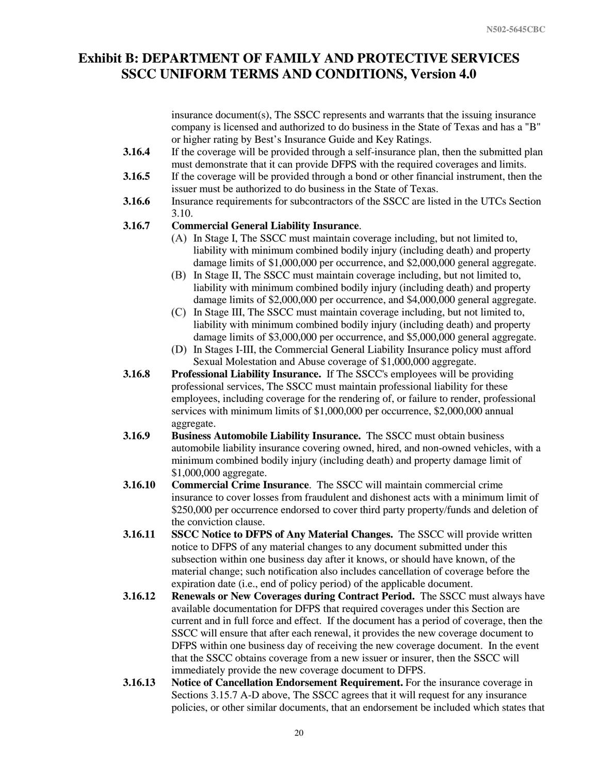insurance document(s), The SSCC represents and warrants that the issuing insurance company is licensed and authorized to do business in the State of Texas and has a "B" or higher rating by Best's Insurance Guide and Key Ratings.

- **3.16.4** If the coverage will be provided through a self-insurance plan, then the submitted plan must demonstrate that it can provide DFPS with the required coverages and limits.
- **3.16.5** If the coverage will be provided through a bond or other financial instrument, then the issuer must be authorized to do business in the State of Texas.
- **3.16.6** Insurance requirements for subcontractors of the SSCC are listed in the UTCs Section 3.10.

#### **3.16.7 Commercial General Liability Insurance**.

- (A) In Stage I, The SSCC must maintain coverage including, but not limited to, liability with minimum combined bodily injury (including death) and property damage limits of \$1,000,000 per occurrence, and \$2,000,000 general aggregate.
- In Stage II, The SSCC must maintain coverage including, but not limited to, liability with minimum combined bodily injury (including death) and property damage limits of \$2,000,000 per occurrence, and \$4,000,000 general aggregate.
- In Stage III, The SSCC must maintain coverage including, but not limited to, liability with minimum combined bodily injury (including death) and property damage limits of \$3,000,000 per occurrence, and \$5,000,000 general aggregate.
- In Stages I-III, the Commercial General Liability Insurance policy must afford Sexual Molestation and Abuse coverage of \$1,000,000 aggregate.
- **3.16.8 Professional Liability Insurance.** If The SSCC's employees will be providing professional services, The SSCC must maintain professional liability for these employees, including coverage for the rendering of, or failure to render, professional services with minimum limits of \$1,000,000 per occurrence, \$2,000,000 annual aggregate.
- **3.16.9 Business Automobile Liability Insurance.** The SSCC must obtain business automobile liability insurance covering owned, hired, and non-owned vehicles, with a minimum combined bodily injury (including death) and property damage limit of \$1,000,000 aggregate.
- **3.16.10 Commercial Crime Insurance**. The SSCC will maintain commercial crime insurance to cover losses from fraudulent and dishonest acts with a minimum limit of \$250,000 per occurrence endorsed to cover third party property/funds and deletion of the conviction clause.
- **3.16.11 SSCC Notice to DFPS of Any Material Changes.** The SSCC will provide written notice to DFPS of any material changes to any document submitted under this subsection within one business day after it knows, or should have known, of the material change; such notification also includes cancellation of coverage before the expiration date (i.e., end of policy period) of the applicable document.
- **3.16.12 Renewals or New Coverages during Contract Period.** The SSCC must always have available documentation for DFPS that required coverages under this Section are current and in full force and effect. If the document has a period of coverage, then the SSCC will ensure that after each renewal, it provides the new coverage document to DFPS within one business day of receiving the new coverage document. In the event that the SSCC obtains coverage from a new issuer or insurer, then the SSCC will immediately provide the new coverage document to DFPS.
- **3.16.13 Notice of Cancellation Endorsement Requirement.** For the insurance coverage in Sections 3.15.7 A-D above, The SSCC agrees that it will request for any insurance policies, or other similar documents, that an endorsement be included which states that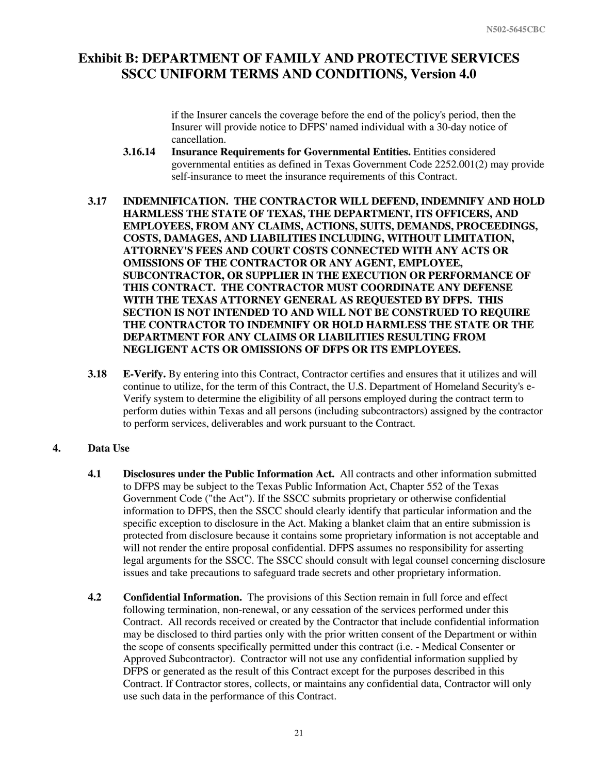if the Insurer cancels the coverage before the end of the policy's period, then the Insurer will provide notice to DFPS' named individual with a 30-day notice of cancellation.

- **3.16.14 Insurance Requirements for Governmental Entities.** Entities considered governmental entities as defined in Texas Government Code 2252.001(2) may provide self-insurance to meet the insurance requirements of this Contract.
- **3.17 INDEMNIFICATION. THE CONTRACTOR WILL DEFEND, INDEMNIFY AND HOLD HARMLESS THE STATE OF TEXAS, THE DEPARTMENT, ITS OFFICERS, AND EMPLOYEES, FROM ANY CLAIMS, ACTIONS, SUITS, DEMANDS, PROCEEDINGS, COSTS, DAMAGES, AND LIABILITIES INCLUDING, WITHOUT LIMITATION, ATTORNEY'S FEES AND COURT COSTS CONNECTED WITH ANY ACTS OR OMISSIONS OF THE CONTRACTOR OR ANY AGENT, EMPLOYEE, SUBCONTRACTOR, OR SUPPLIER IN THE EXECUTION OR PERFORMANCE OF THIS CONTRACT. THE CONTRACTOR MUST COORDINATE ANY DEFENSE WITH THE TEXAS ATTORNEY GENERAL AS REQUESTED BY DFPS. THIS SECTION IS NOT INTENDED TO AND WILL NOT BE CONSTRUED TO REQUIRE THE CONTRACTOR TO INDEMNIFY OR HOLD HARMLESS THE STATE OR THE DEPARTMENT FOR ANY CLAIMS OR LIABILITIES RESULTING FROM NEGLIGENT ACTS OR OMISSIONS OF DFPS OR ITS EMPLOYEES.**
- **3.18 E-Verify.** By entering into this Contract, Contractor certifies and ensures that it utilizes and will continue to utilize, for the term of this Contract, the U.S. Department of Homeland Security's e-Verify system to determine the eligibility of all persons employed during the contract term to perform duties within Texas and all persons (including subcontractors) assigned by the contractor to perform services, deliverables and work pursuant to the Contract.

### **4. Data Use**

- **4.1 Disclosures under the Public Information Act.** All contracts and other information submitted to DFPS may be subject to the Texas Public Information Act, Chapter 552 of the Texas Government Code ("the Act"). If the SSCC submits proprietary or otherwise confidential information to DFPS, then the SSCC should clearly identify that particular information and the specific exception to disclosure in the Act. Making a blanket claim that an entire submission is protected from disclosure because it contains some proprietary information is not acceptable and will not render the entire proposal confidential. DFPS assumes no responsibility for asserting legal arguments for the SSCC. The SSCC should consult with legal counsel concerning disclosure issues and take precautions to safeguard trade secrets and other proprietary information.
- **4.2 Confidential Information.** The provisions of this Section remain in full force and effect following termination, non-renewal, or any cessation of the services performed under this Contract. All records received or created by the Contractor that include confidential information may be disclosed to third parties only with the prior written consent of the Department or within the scope of consents specifically permitted under this contract (i.e. - Medical Consenter or Approved Subcontractor). Contractor will not use any confidential information supplied by DFPS or generated as the result of this Contract except for the purposes described in this Contract. If Contractor stores, collects, or maintains any confidential data, Contractor will only use such data in the performance of this Contract.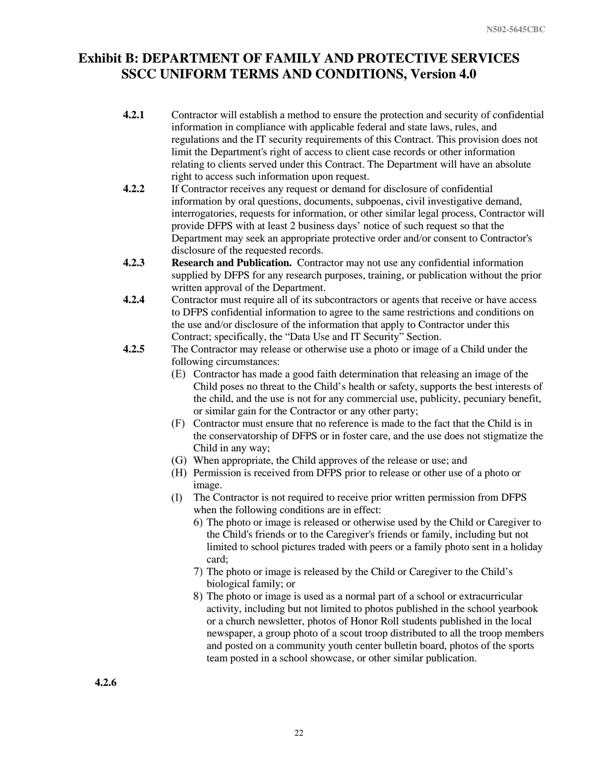- **4.2.1** Contractor will establish a method to ensure the protection and security of confidential information in compliance with applicable federal and state laws, rules, and regulations and the IT security requirements of this Contract. This provision does not limit the Department's right of access to client case records or other information relating to clients served under this Contract. The Department will have an absolute right to access such information upon request.
- **4.2.2** If Contractor receives any request or demand for disclosure of confidential information by oral questions, documents, subpoenas, civil investigative demand, interrogatories, requests for information, or other similar legal process, Contractor will provide DFPS with at least 2 business days' notice of such request so that the Department may seek an appropriate protective order and/or consent to Contractor's disclosure of the requested records.
- **4.2.3 Research and Publication.** Contractor may not use any confidential information supplied by DFPS for any research purposes, training, or publication without the prior written approval of the Department.
- **4.2.4** Contractor must require all of its subcontractors or agents that receive or have access to DFPS confidential information to agree to the same restrictions and conditions on the use and/or disclosure of the information that apply to Contractor under this Contract; specifically, the "Data Use and IT Security" Section.
- **4.2.5** The Contractor may release or otherwise use a photo or image of a Child under the following circumstances:
	- Contractor has made a good faith determination that releasing an image of the Child poses no threat to the Child's health or safety, supports the best interests of the child, and the use is not for any commercial use, publicity, pecuniary benefit, or similar gain for the Contractor or any other party;
	- Contractor must ensure that no reference is made to the fact that the Child is in the conservatorship of DFPS or in foster care, and the use does not stigmatize the Child in any way;
	- When appropriate, the Child approves of the release or use; and
	- Permission is received from DFPS prior to release or other use of a photo or image.
	- The Contractor is not required to receive prior written permission from DFPS when the following conditions are in effect:
		- The photo or image is released or otherwise used by the Child or Caregiver to the Child's friends or to the Caregiver's friends or family, including but not limited to school pictures traded with peers or a family photo sent in a holiday card;
		- The photo or image is released by the Child or Caregiver to the Child's biological family; or
		- The photo or image is used as a normal part of a school or extracurricular activity, including but not limited to photos published in the school yearbook or a church newsletter, photos of Honor Roll students published in the local newspaper, a group photo of a scout troop distributed to all the troop members and posted on a community youth center bulletin board, photos of the sports team posted in a school showcase, or other similar publication.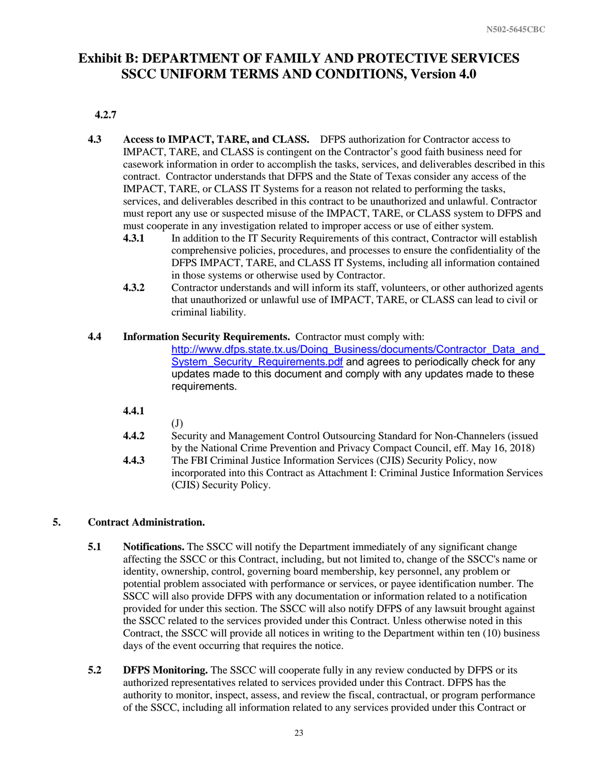### **4.2.7**

- **4.3 Access to IMPACT, TARE, and CLASS.** DFPS authorization for Contractor access to IMPACT, TARE, and CLASS is contingent on the Contractor's good faith business need for casework information in order to accomplish the tasks, services, and deliverables described in this contract. Contractor understands that DFPS and the State of Texas consider any access of the IMPACT, TARE, or CLASS IT Systems for a reason not related to performing the tasks, services, and deliverables described in this contract to be unauthorized and unlawful. Contractor must report any use or suspected misuse of the IMPACT, TARE, or CLASS system to DFPS and must cooperate in any investigation related to improper access or use of either system.
	- **4.3.1** In addition to the IT Security Requirements of this contract, Contractor will establish comprehensive policies, procedures, and processes to ensure the confidentiality of the DFPS IMPACT, TARE, and CLASS IT Systems, including all information contained in those systems or otherwise used by Contractor.
	- **4.3.2** Contractor understands and will inform its staff, volunteers, or other authorized agents that unauthorized or unlawful use of IMPACT, TARE, or CLASS can lead to civil or criminal liability.

### **4.4 Information Security Requirements.** Contractor must comply with:

(CJIS) Security Policy.

http://www.dfps.state.tx.us/Doing\_Business/documents/Contractor\_Data\_and [System\\_Security\\_Requirements.pdf](http://www.dfps.state.tx.us/Doing_Business/documents/Contractor_Data_and_System_Security_Requirements.pdf) and agrees to periodically check for any updates made to this document and comply with any updates made to these requirements.

- **4.4.1**
	-

 $(J)$ 

**4.4.2** Security and Management Control Outsourcing Standard for Non-Channelers (issued by the National Crime Prevention and Privacy Compact Council, eff. May 16, 2018) **4.4.3** The FBI Criminal Justice Information Services (CJIS) Security Policy, now incorporated into this Contract as Attachment I: Criminal Justice Information Services

### **5. Contract Administration.**

- **5.1 Notifications.** The SSCC will notify the Department immediately of any significant change affecting the SSCC or this Contract, including, but not limited to, change of the SSCC's name or identity, ownership, control, governing board membership, key personnel, any problem or potential problem associated with performance or services, or payee identification number. The SSCC will also provide DFPS with any documentation or information related to a notification provided for under this section. The SSCC will also notify DFPS of any lawsuit brought against the SSCC related to the services provided under this Contract. Unless otherwise noted in this Contract, the SSCC will provide all notices in writing to the Department within ten (10) business days of the event occurring that requires the notice.
- **5.2 DFPS Monitoring.** The SSCC will cooperate fully in any review conducted by DFPS or its authorized representatives related to services provided under this Contract. DFPS has the authority to monitor, inspect, assess, and review the fiscal, contractual, or program performance of the SSCC, including all information related to any services provided under this Contract or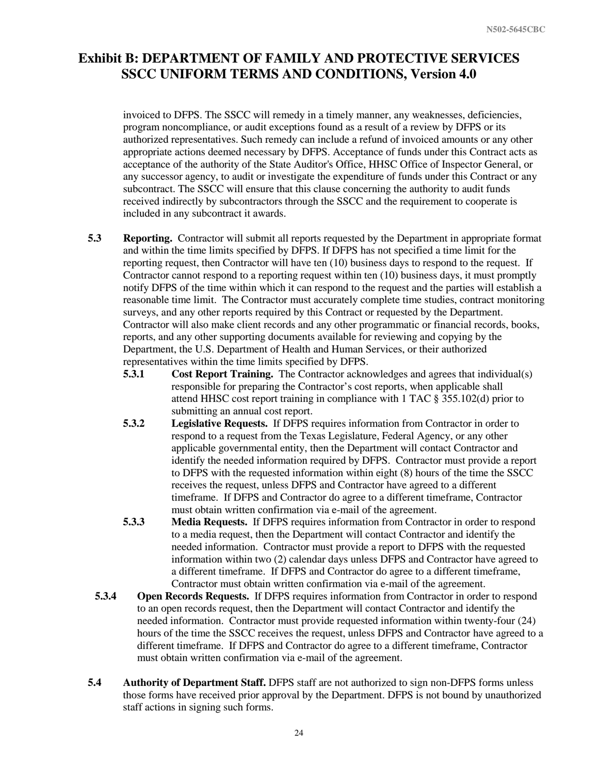invoiced to DFPS. The SSCC will remedy in a timely manner, any weaknesses, deficiencies, program noncompliance, or audit exceptions found as a result of a review by DFPS or its authorized representatives. Such remedy can include a refund of invoiced amounts or any other appropriate actions deemed necessary by DFPS. Acceptance of funds under this Contract acts as acceptance of the authority of the State Auditor's Office, HHSC Office of Inspector General, or any successor agency, to audit or investigate the expenditure of funds under this Contract or any subcontract. The SSCC will ensure that this clause concerning the authority to audit funds received indirectly by subcontractors through the SSCC and the requirement to cooperate is included in any subcontract it awards.

- **5.3 Reporting.** Contractor will submit all reports requested by the Department in appropriate format and within the time limits specified by DFPS. If DFPS has not specified a time limit for the reporting request, then Contractor will have ten (10) business days to respond to the request. If Contractor cannot respond to a reporting request within ten (10) business days, it must promptly notify DFPS of the time within which it can respond to the request and the parties will establish a reasonable time limit. The Contractor must accurately complete time studies, contract monitoring surveys, and any other reports required by this Contract or requested by the Department. Contractor will also make client records and any other programmatic or financial records, books, reports, and any other supporting documents available for reviewing and copying by the Department, the U.S. Department of Health and Human Services, or their authorized representatives within the time limits specified by DFPS.
	- **5.3.1 Cost Report Training.** The Contractor acknowledges and agrees that individual(s) responsible for preparing the Contractor's cost reports, when applicable shall attend HHSC cost report training in compliance with 1 TAC § 355.102(d) prior to submitting an annual cost report.
	- **5.3.2 Legislative Requests.** If DFPS requires information from Contractor in order to respond to a request from the Texas Legislature, Federal Agency, or any other applicable governmental entity, then the Department will contact Contractor and identify the needed information required by DFPS. Contractor must provide a report to DFPS with the requested information within eight (8) hours of the time the SSCC receives the request, unless DFPS and Contractor have agreed to a different timeframe. If DFPS and Contractor do agree to a different timeframe, Contractor must obtain written confirmation via e-mail of the agreement.
	- **5.3.3 Media Requests.** If DFPS requires information from Contractor in order to respond to a media request, then the Department will contact Contractor and identify the needed information. Contractor must provide a report to DFPS with the requested information within two (2) calendar days unless DFPS and Contractor have agreed to a different timeframe. If DFPS and Contractor do agree to a different timeframe, Contractor must obtain written confirmation via e-mail of the agreement.
	- **5.3.4 Open Records Requests.** If DFPS requires information from Contractor in order to respond to an open records request, then the Department will contact Contractor and identify the needed information. Contractor must provide requested information within twenty-four (24) hours of the time the SSCC receives the request, unless DFPS and Contractor have agreed to a different timeframe. If DFPS and Contractor do agree to a different timeframe, Contractor must obtain written confirmation via e-mail of the agreement.
- **5.4 Authority of Department Staff.** DFPS staff are not authorized to sign non-DFPS forms unless those forms have received prior approval by the Department. DFPS is not bound by unauthorized staff actions in signing such forms.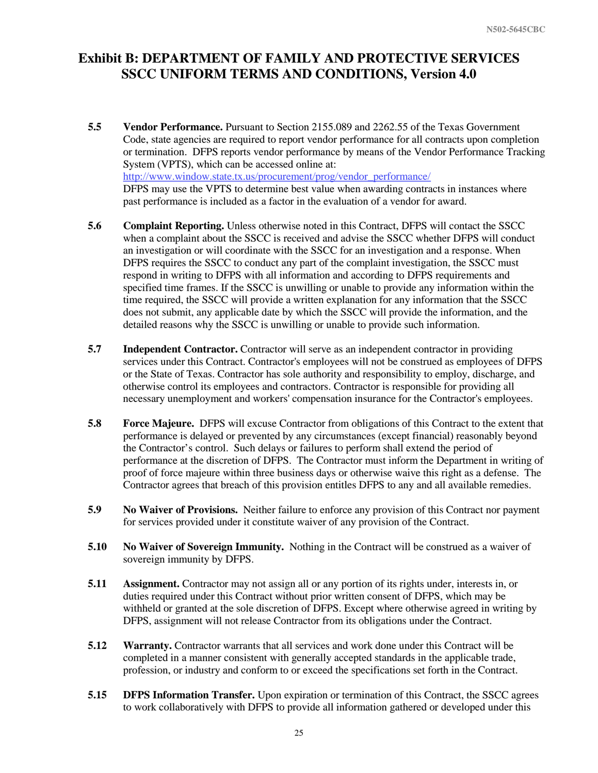- **5.5 Vendor Performance.** Pursuant to Section 2155.089 and 2262.55 of the Texas Government Code, state agencies are required to report vendor performance for all contracts upon completion or termination. DFPS reports vendor performance by means of the Vendor Performance Tracking System (VPTS), which can be accessed online at: [http://www.window.state.tx.us/procurement/prog/vendor\\_performance/](http://www.window.state.tx.us/procurement/prog/vendor_performance/) DFPS may use the VPTS to determine best value when awarding contracts in instances where past performance is included as a factor in the evaluation of a vendor for award.
- **5.6 Complaint Reporting.** Unless otherwise noted in this Contract, DFPS will contact the SSCC when a complaint about the SSCC is received and advise the SSCC whether DFPS will conduct an investigation or will coordinate with the SSCC for an investigation and a response. When DFPS requires the SSCC to conduct any part of the complaint investigation, the SSCC must respond in writing to DFPS with all information and according to DFPS requirements and specified time frames. If the SSCC is unwilling or unable to provide any information within the time required, the SSCC will provide a written explanation for any information that the SSCC does not submit, any applicable date by which the SSCC will provide the information, and the detailed reasons why the SSCC is unwilling or unable to provide such information.
- **5.7 Independent Contractor.** Contractor will serve as an independent contractor in providing services under this Contract. Contractor's employees will not be construed as employees of DFPS or the State of Texas. Contractor has sole authority and responsibility to employ, discharge, and otherwise control its employees and contractors. Contractor is responsible for providing all necessary unemployment and workers' compensation insurance for the Contractor's employees.
- **5.8 Force Majeure.** DFPS will excuse Contractor from obligations of this Contract to the extent that performance is delayed or prevented by any circumstances (except financial) reasonably beyond the Contractor's control. Such delays or failures to perform shall extend the period of performance at the discretion of DFPS. The Contractor must inform the Department in writing of proof of force majeure within three business days or otherwise waive this right as a defense. The Contractor agrees that breach of this provision entitles DFPS to any and all available remedies.
- **5.9 No Waiver of Provisions.** Neither failure to enforce any provision of this Contract nor payment for services provided under it constitute waiver of any provision of the Contract.
- **5.10 No Waiver of Sovereign Immunity.** Nothing in the Contract will be construed as a waiver of sovereign immunity by DFPS.
- **5.11 Assignment.** Contractor may not assign all or any portion of its rights under, interests in, or duties required under this Contract without prior written consent of DFPS, which may be withheld or granted at the sole discretion of DFPS. Except where otherwise agreed in writing by DFPS, assignment will not release Contractor from its obligations under the Contract.
- **5.12 Warranty.** Contractor warrants that all services and work done under this Contract will be completed in a manner consistent with generally accepted standards in the applicable trade, profession, or industry and conform to or exceed the specifications set forth in the Contract.
- **5.15 DFPS Information Transfer.** Upon expiration or termination of this Contract, the SSCC agrees to work collaboratively with DFPS to provide all information gathered or developed under this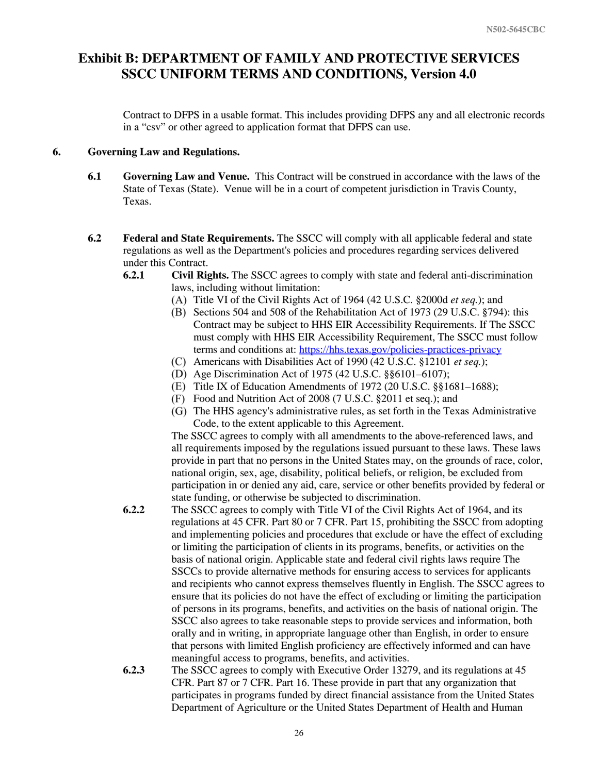Contract to DFPS in a usable format. This includes providing DFPS any and all electronic records in a "csv" or other agreed to application format that DFPS can use.

#### **6. Governing Law and Regulations.**

- **6.1 Governing Law and Venue.** This Contract will be construed in accordance with the laws of the State of Texas (State). Venue will be in a court of competent jurisdiction in Travis County, Texas.
- **6.2 Federal and State Requirements.** The SSCC will comply with all applicable federal and state regulations as well as the Department's policies and procedures regarding services delivered under this Contract.
	- **6.2.1 Civil Rights.** The SSCC agrees to comply with state and federal anti-discrimination laws, including without limitation:
		- Title VI of the Civil Rights Act of 1964 (42 U.S.C. §2000d *et seq.*); and
		- (B) Sections 504 and 508 of the Rehabilitation Act of 1973 (29 U.S.C. §794): this Contract may be subject to HHS EIR Accessibility Requirements. If The SSCC must comply with HHS EIR Accessibility Requirement, The SSCC must follow terms and conditions at: <https://hhs.texas.gov/policies-practices-privacy>
		- Americans with Disabilities Act of 1990 (42 U.S.C. §12101 *et seq.*);
		- Age Discrimination Act of 1975 (42 U.S.C. §§6101–6107);
		- Title IX of Education Amendments of 1972 (20 U.S.C. §§1681–1688);
		- Food and Nutrition Act of 2008 (7 U.S.C. §2011 et seq.); and
		- The HHS agency's administrative rules, as set forth in the Texas Administrative Code, to the extent applicable to this Agreement.

The SSCC agrees to comply with all amendments to the above-referenced laws, and all requirements imposed by the regulations issued pursuant to these laws. These laws provide in part that no persons in the United States may, on the grounds of race, color, national origin, sex, age, disability, political beliefs, or religion, be excluded from participation in or denied any aid, care, service or other benefits provided by federal or state funding, or otherwise be subjected to discrimination.

- **6.2.2** The SSCC agrees to comply with Title VI of the Civil Rights Act of 1964, and its regulations at 45 CFR. Part 80 or 7 CFR. Part 15, prohibiting the SSCC from adopting and implementing policies and procedures that exclude or have the effect of excluding or limiting the participation of clients in its programs, benefits, or activities on the basis of national origin. Applicable state and federal civil rights laws require The SSCCs to provide alternative methods for ensuring access to services for applicants and recipients who cannot express themselves fluently in English. The SSCC agrees to ensure that its policies do not have the effect of excluding or limiting the participation of persons in its programs, benefits, and activities on the basis of national origin. The SSCC also agrees to take reasonable steps to provide services and information, both orally and in writing, in appropriate language other than English, in order to ensure that persons with limited English proficiency are effectively informed and can have meaningful access to programs, benefits, and activities.
- **6.2.3** The SSCC agrees to comply with Executive Order 13279, and its regulations at 45 CFR. Part 87 or 7 CFR. Part 16. These provide in part that any organization that participates in programs funded by direct financial assistance from the United States Department of Agriculture or the United States Department of Health and Human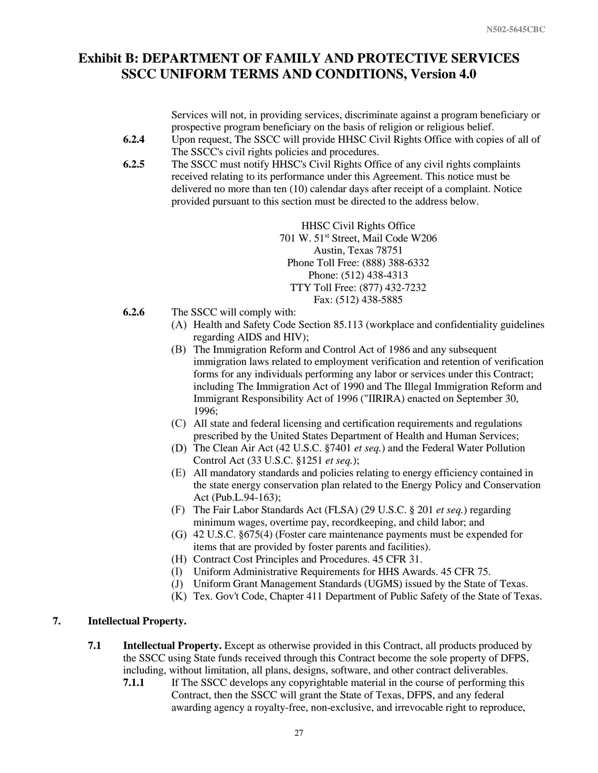Services will not, in providing services, discriminate against a program beneficiary or prospective program beneficiary on the basis of religion or religious belief.

- **6.2.4** Upon request, The SSCC will provide HHSC Civil Rights Office with copies of all of The SSCC's civil rights policies and procedures.
- **6.2.5** The SSCC must notify HHSC's Civil Rights Office of any civil rights complaints received relating to its performance under this Agreement. This notice must be delivered no more than ten (10) calendar days after receipt of a complaint. Notice provided pursuant to this section must be directed to the address below.

HHSC Civil Rights Office 701 W. 51<sup>st</sup> Street, Mail Code W206 Austin, Texas 78751 Phone Toll Free: (888) 388-6332 Phone: (512) 438-4313 TTY Toll Free: (877) 432-7232 Fax: (512) 438-5885

- **6.2.6** The SSCC will comply with:
	- $(A)$  Health and Safety Code Section 85.113 (workplace and confidentiality guidelines regarding AIDS and HIV);
	- The Immigration Reform and Control Act of 1986 and any subsequent immigration laws related to employment verification and retention of verification forms for any individuals performing any labor or services under this Contract; including The Immigration Act of 1990 and The Illegal Immigration Reform and Immigrant Responsibility Act of 1996 ("IIRIRA) enacted on September 30, 1996;
	- All state and federal licensing and certification requirements and regulations prescribed by the United States Department of Health and Human Services;
	- The Clean Air Act (42 U.S.C. §7401 *et seq.*) and the Federal Water Pollution Control Act (33 U.S.C. §1251 *et seq.*);
	- All mandatory standards and policies relating to energy efficiency contained in the state energy conservation plan related to the Energy Policy and Conservation Act (Pub.L.94-163);
	- The Fair Labor Standards Act (FLSA) (29 U.S.C. § 201 *et seq.*) regarding minimum wages, overtime pay, recordkeeping, and child labor; and
	- 42 U.S.C. §675(4) (Foster care maintenance payments must be expended for items that are provided by foster parents and facilities).
	- (H) Contract Cost Principles and Procedures. 45 CFR 31.
	- Uniform Administrative Requirements for HHS Awards. 45 CFR 75.
	- Uniform Grant Management Standards (UGMS) issued by the State of Texas.
	- Tex. Gov't Code, Chapter 411 Department of Public Safety of the State of Texas.

### **7. Intellectual Property.**

- **7.1 Intellectual Property.** Except as otherwise provided in this Contract, all products produced by the SSCC using State funds received through this Contract become the sole property of DFPS, including, without limitation, all plans, designs, software, and other contract deliverables.
	- **7.1.1** If The SSCC develops any copyrightable material in the course of performing this Contract, then the SSCC will grant the State of Texas, DFPS, and any federal awarding agency a royalty-free, non-exclusive, and irrevocable right to reproduce,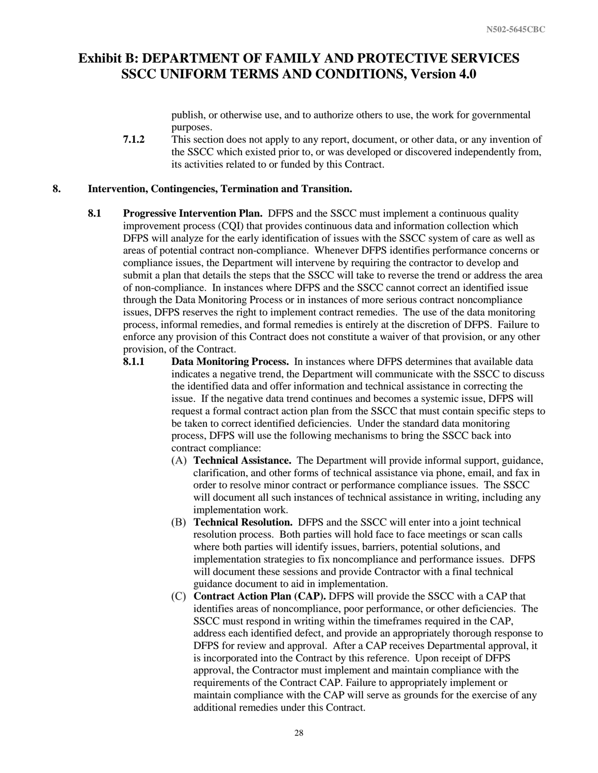publish, or otherwise use, and to authorize others to use, the work for governmental purposes.

**7.1.2** This section does not apply to any report, document, or other data, or any invention of the SSCC which existed prior to, or was developed or discovered independently from, its activities related to or funded by this Contract.

#### **8. Intervention, Contingencies, Termination and Transition.**

- **8.1 Progressive Intervention Plan.** DFPS and the SSCC must implement a continuous quality improvement process (CQI) that provides continuous data and information collection which DFPS will analyze for the early identification of issues with the SSCC system of care as well as areas of potential contract non-compliance. Whenever DFPS identifies performance concerns or compliance issues, the Department will intervene by requiring the contractor to develop and submit a plan that details the steps that the SSCC will take to reverse the trend or address the area of non-compliance. In instances where DFPS and the SSCC cannot correct an identified issue through the Data Monitoring Process or in instances of more serious contract noncompliance issues, DFPS reserves the right to implement contract remedies. The use of the data monitoring process, informal remedies, and formal remedies is entirely at the discretion of DFPS. Failure to enforce any provision of this Contract does not constitute a waiver of that provision, or any other provision, of the Contract.
	- **8.1.1 Data Monitoring Process.** In instances where DFPS determines that available data indicates a negative trend, the Department will communicate with the SSCC to discuss the identified data and offer information and technical assistance in correcting the issue. If the negative data trend continues and becomes a systemic issue, DFPS will request a formal contract action plan from the SSCC that must contain specific steps to be taken to correct identified deficiencies. Under the standard data monitoring process, DFPS will use the following mechanisms to bring the SSCC back into contract compliance:
		- **Technical Assistance.** The Department will provide informal support, guidance, clarification, and other forms of technical assistance via phone, email, and fax in order to resolve minor contract or performance compliance issues. The SSCC will document all such instances of technical assistance in writing, including any implementation work.
		- **Technical Resolution.** DFPS and the SSCC will enter into a joint technical resolution process. Both parties will hold face to face meetings or scan calls where both parties will identify issues, barriers, potential solutions, and implementation strategies to fix noncompliance and performance issues. DFPS will document these sessions and provide Contractor with a final technical guidance document to aid in implementation.
		- **Contract Action Plan (CAP).** DFPS will provide the SSCC with a CAP that identifies areas of noncompliance, poor performance, or other deficiencies. The SSCC must respond in writing within the timeframes required in the CAP, address each identified defect, and provide an appropriately thorough response to DFPS for review and approval. After a CAP receives Departmental approval, it is incorporated into the Contract by this reference. Upon receipt of DFPS approval, the Contractor must implement and maintain compliance with the requirements of the Contract CAP. Failure to appropriately implement or maintain compliance with the CAP will serve as grounds for the exercise of any additional remedies under this Contract.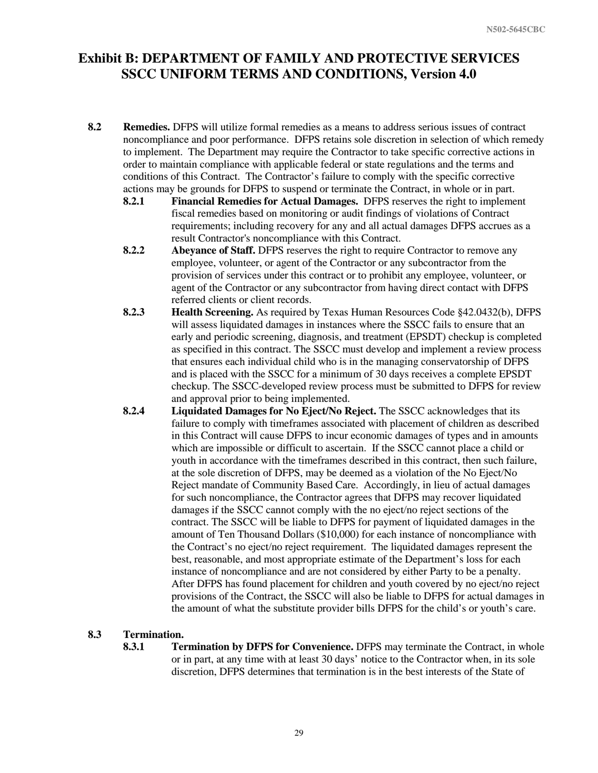- **8.2 Remedies.** DFPS will utilize formal remedies as a means to address serious issues of contract noncompliance and poor performance. DFPS retains sole discretion in selection of which remedy to implement. The Department may require the Contractor to take specific corrective actions in order to maintain compliance with applicable federal or state regulations and the terms and conditions of this Contract. The Contractor's failure to comply with the specific corrective actions may be grounds for DFPS to suspend or terminate the Contract, in whole or in part.
	- **8.2.1 Financial Remedies for Actual Damages.** DFPS reserves the right to implement fiscal remedies based on monitoring or audit findings of violations of Contract requirements; including recovery for any and all actual damages DFPS accrues as a result Contractor's noncompliance with this Contract.
	- **8.2.2 Abeyance of Staff.** DFPS reserves the right to require Contractor to remove any employee, volunteer, or agent of the Contractor or any subcontractor from the provision of services under this contract or to prohibit any employee, volunteer, or agent of the Contractor or any subcontractor from having direct contact with DFPS referred clients or client records.
	- **8.2.3 Health Screening.** As required by Texas Human Resources Code §42.0432(b), DFPS will assess liquidated damages in instances where the SSCC fails to ensure that an early and periodic screening, diagnosis, and treatment (EPSDT) checkup is completed as specified in this contract. The SSCC must develop and implement a review process that ensures each individual child who is in the managing conservatorship of DFPS and is placed with the SSCC for a minimum of 30 days receives a complete EPSDT checkup. The SSCC-developed review process must be submitted to DFPS for review and approval prior to being implemented.
	- **8.2.4 Liquidated Damages for No Eject/No Reject.** The SSCC acknowledges that its failure to comply with timeframes associated with placement of children as described in this Contract will cause DFPS to incur economic damages of types and in amounts which are impossible or difficult to ascertain. If the SSCC cannot place a child or youth in accordance with the timeframes described in this contract, then such failure, at the sole discretion of DFPS, may be deemed as a violation of the No Eject/No Reject mandate of Community Based Care. Accordingly, in lieu of actual damages for such noncompliance, the Contractor agrees that DFPS may recover liquidated damages if the SSCC cannot comply with the no eject/no reject sections of the contract. The SSCC will be liable to DFPS for payment of liquidated damages in the amount of Ten Thousand Dollars (\$10,000) for each instance of noncompliance with the Contract's no eject/no reject requirement. The liquidated damages represent the best, reasonable, and most appropriate estimate of the Department's loss for each instance of noncompliance and are not considered by either Party to be a penalty. After DFPS has found placement for children and youth covered by no eject/no reject provisions of the Contract, the SSCC will also be liable to DFPS for actual damages in the amount of what the substitute provider bills DFPS for the child's or youth's care.

#### **8.3 Termination.**

**8.3.1 Termination by DFPS for Convenience.** DFPS may terminate the Contract, in whole or in part, at any time with at least 30 days' notice to the Contractor when, in its sole discretion, DFPS determines that termination is in the best interests of the State of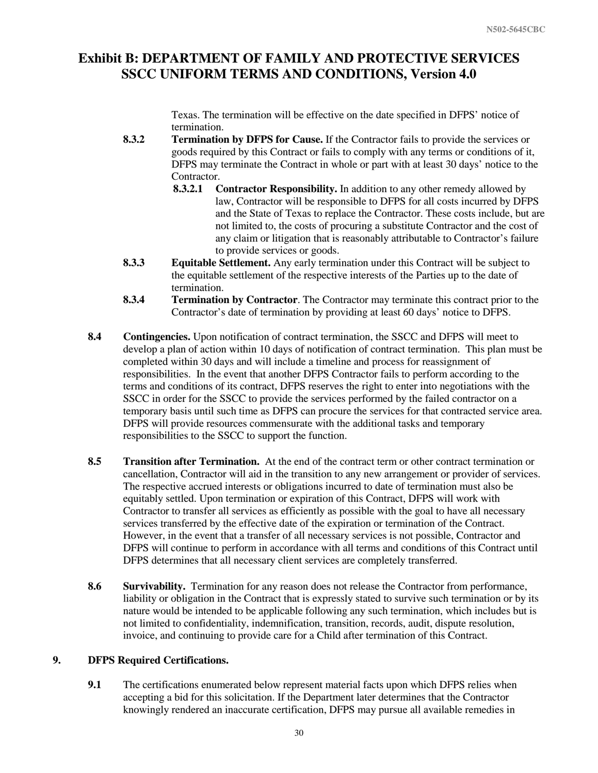Texas. The termination will be effective on the date specified in DFPS' notice of termination.

- **8.3.2 Termination by DFPS for Cause.** If the Contractor fails to provide the services or goods required by this Contract or fails to comply with any terms or conditions of it, DFPS may terminate the Contract in whole or part with at least 30 days' notice to the Contractor.
	- **8.3.2.1 Contractor Responsibility.** In addition to any other remedy allowed by law, Contractor will be responsible to DFPS for all costs incurred by DFPS and the State of Texas to replace the Contractor. These costs include, but are not limited to, the costs of procuring a substitute Contractor and the cost of any claim or litigation that is reasonably attributable to Contractor's failure to provide services or goods.
- **8.3.3 Equitable Settlement.** Any early termination under this Contract will be subject to the equitable settlement of the respective interests of the Parties up to the date of termination.
- **8.3.4 Termination by Contractor**. The Contractor may terminate this contract prior to the Contractor's date of termination by providing at least 60 days' notice to DFPS.
- **8.4 Contingencies.** Upon notification of contract termination, the SSCC and DFPS will meet to develop a plan of action within 10 days of notification of contract termination. This plan must be completed within 30 days and will include a timeline and process for reassignment of responsibilities. In the event that another DFPS Contractor fails to perform according to the terms and conditions of its contract, DFPS reserves the right to enter into negotiations with the SSCC in order for the SSCC to provide the services performed by the failed contractor on a temporary basis until such time as DFPS can procure the services for that contracted service area. DFPS will provide resources commensurate with the additional tasks and temporary responsibilities to the SSCC to support the function.
- **8.5 Transition after Termination.** At the end of the contract term or other contract termination or cancellation, Contractor will aid in the transition to any new arrangement or provider of services. The respective accrued interests or obligations incurred to date of termination must also be equitably settled. Upon termination or expiration of this Contract, DFPS will work with Contractor to transfer all services as efficiently as possible with the goal to have all necessary services transferred by the effective date of the expiration or termination of the Contract. However, in the event that a transfer of all necessary services is not possible, Contractor and DFPS will continue to perform in accordance with all terms and conditions of this Contract until DFPS determines that all necessary client services are completely transferred.
- **8.6 Survivability.** Termination for any reason does not release the Contractor from performance, liability or obligation in the Contract that is expressly stated to survive such termination or by its nature would be intended to be applicable following any such termination, which includes but is not limited to confidentiality, indemnification, transition, records, audit, dispute resolution, invoice, and continuing to provide care for a Child after termination of this Contract.

### **9. DFPS Required Certifications.**

**9.1** The certifications enumerated below represent material facts upon which DFPS relies when accepting a bid for this solicitation. If the Department later determines that the Contractor knowingly rendered an inaccurate certification, DFPS may pursue all available remedies in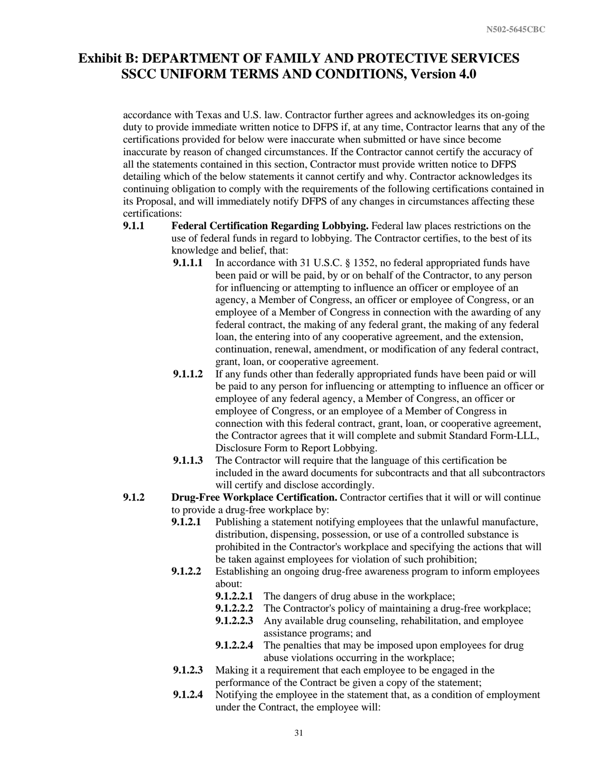accordance with Texas and U.S. law. Contractor further agrees and acknowledges its on-going duty to provide immediate written notice to DFPS if, at any time, Contractor learns that any of the certifications provided for below were inaccurate when submitted or have since become inaccurate by reason of changed circumstances. If the Contractor cannot certify the accuracy of all the statements contained in this section, Contractor must provide written notice to DFPS detailing which of the below statements it cannot certify and why. Contractor acknowledges its continuing obligation to comply with the requirements of the following certifications contained in its Proposal, and will immediately notify DFPS of any changes in circumstances affecting these certifications:

- **9.1.1 Federal Certification Regarding Lobbying.** Federal law places restrictions on the use of federal funds in regard to lobbying. The Contractor certifies, to the best of its knowledge and belief, that:
	- **9.1.1.1** In accordance with 31 U.S.C. § 1352, no federal appropriated funds have been paid or will be paid, by or on behalf of the Contractor, to any person for influencing or attempting to influence an officer or employee of an agency, a Member of Congress, an officer or employee of Congress, or an employee of a Member of Congress in connection with the awarding of any federal contract, the making of any federal grant, the making of any federal loan, the entering into of any cooperative agreement, and the extension, continuation, renewal, amendment, or modification of any federal contract, grant, loan, or cooperative agreement.
	- **9.1.1.2** If any funds other than federally appropriated funds have been paid or will be paid to any person for influencing or attempting to influence an officer or employee of any federal agency, a Member of Congress, an officer or employee of Congress, or an employee of a Member of Congress in connection with this federal contract, grant, loan, or cooperative agreement, the Contractor agrees that it will complete and submit Standard Form-LLL, Disclosure Form to Report Lobbying.
	- **9.1.1.3** The Contractor will require that the language of this certification be included in the award documents for subcontracts and that all subcontractors will certify and disclose accordingly.
- **9.1.2 Drug-Free Workplace Certification.** Contractor certifies that it will or will continue to provide a drug-free workplace by:
	- **9.1.2.1** Publishing a statement notifying employees that the unlawful manufacture, distribution, dispensing, possession, or use of a controlled substance is prohibited in the Contractor's workplace and specifying the actions that will be taken against employees for violation of such prohibition;
	- **9.1.2.2** Establishing an ongoing drug-free awareness program to inform employees about:
		- **9.1.2.2.1** The dangers of drug abuse in the workplace;
		- **9.1.2.2.2** The Contractor's policy of maintaining a drug-free workplace;
		- **9.1.2.2.3** Any available drug counseling, rehabilitation, and employee assistance programs; and
		- **9.1.2.2.4** The penalties that may be imposed upon employees for drug abuse violations occurring in the workplace;
	- **9.1.2.3** Making it a requirement that each employee to be engaged in the performance of the Contract be given a copy of the statement;
	- **9.1.2.4** Notifying the employee in the statement that, as a condition of employment under the Contract, the employee will: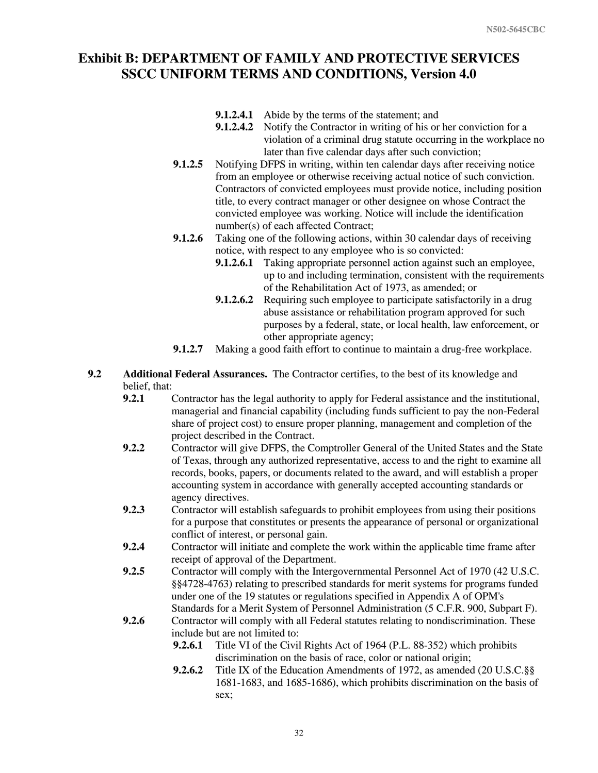- **9.1.2.4.1** Abide by the terms of the statement; and
- **9.1.2.4.2** Notify the Contractor in writing of his or her conviction for a violation of a criminal drug statute occurring in the workplace no later than five calendar days after such conviction;
- **9.1.2.5** Notifying DFPS in writing, within ten calendar days after receiving notice from an employee or otherwise receiving actual notice of such conviction. Contractors of convicted employees must provide notice, including position title, to every contract manager or other designee on whose Contract the convicted employee was working. Notice will include the identification number(s) of each affected Contract;
- **9.1.2.6** Taking one of the following actions, within 30 calendar days of receiving notice, with respect to any employee who is so convicted:
	- **9.1.2.6.1** Taking appropriate personnel action against such an employee, up to and including termination, consistent with the requirements of the Rehabilitation Act of 1973, as amended; or
	- **9.1.2.6.2** Requiring such employee to participate satisfactorily in a drug abuse assistance or rehabilitation program approved for such purposes by a federal, state, or local health, law enforcement, or other appropriate agency;
- **9.1.2.7** Making a good faith effort to continue to maintain a drug-free workplace.
- **9.2 Additional Federal Assurances.** The Contractor certifies, to the best of its knowledge and belief, that:
	- **9.2.1** Contractor has the legal authority to apply for Federal assistance and the institutional, managerial and financial capability (including funds sufficient to pay the non-Federal share of project cost) to ensure proper planning, management and completion of the project described in the Contract.
	- **9.2.2** Contractor will give DFPS, the Comptroller General of the United States and the State of Texas, through any authorized representative, access to and the right to examine all records, books, papers, or documents related to the award, and will establish a proper accounting system in accordance with generally accepted accounting standards or agency directives.
	- **9.2.3** Contractor will establish safeguards to prohibit employees from using their positions for a purpose that constitutes or presents the appearance of personal or organizational conflict of interest, or personal gain.
	- **9.2.4** Contractor will initiate and complete the work within the applicable time frame after receipt of approval of the Department.
	- **9.2.5** Contractor will comply with the Intergovernmental Personnel Act of 1970 (42 U.S.C. §§4728-4763) relating to prescribed standards for merit systems for programs funded under one of the 19 statutes or regulations specified in Appendix A of OPM's Standards for a Merit System of Personnel Administration (5 C.F.R. 900, Subpart F).
	- **9.2.6** Contractor will comply with all Federal statutes relating to nondiscrimination. These include but are not limited to:
		- **9.2.6.1** Title VI of the Civil Rights Act of 1964 (P.L. 88-352) which prohibits discrimination on the basis of race, color or national origin;
		- **9.2.6.2** Title IX of the Education Amendments of 1972, as amended (20 U.S.C.§§ 1681-1683, and 1685-1686), which prohibits discrimination on the basis of sex;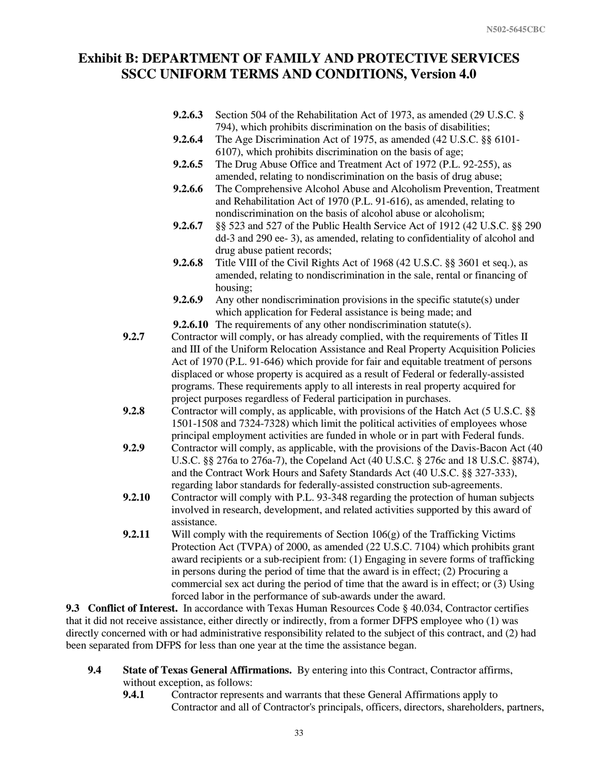- **9.2.6.3** Section 504 of the Rehabilitation Act of 1973, as amended (29 U.S.C. § 794), which prohibits discrimination on the basis of disabilities;
- **9.2.6.4** The Age Discrimination Act of 1975, as amended (42 U.S.C. §§ 6101- 6107), which prohibits discrimination on the basis of age;
- **9.2.6.5** The Drug Abuse Office and Treatment Act of 1972 (P.L. 92-255), as amended, relating to nondiscrimination on the basis of drug abuse;
- **9.2.6.6** The Comprehensive Alcohol Abuse and Alcoholism Prevention, Treatment and Rehabilitation Act of 1970 (P.L. 91-616), as amended, relating to nondiscrimination on the basis of alcohol abuse or alcoholism;
- **9.2.6.7** §§ 523 and 527 of the Public Health Service Act of 1912 (42 U.S.C. §§ 290 dd-3 and 290 ee- 3), as amended, relating to confidentiality of alcohol and drug abuse patient records;
- **9.2.6.8** Title VIII of the Civil Rights Act of 1968 (42 U.S.C. §§ 3601 et seq.), as amended, relating to nondiscrimination in the sale, rental or financing of housing;
- **9.2.6.9** Any other nondiscrimination provisions in the specific statute(s) under which application for Federal assistance is being made; and
- **9.2.6.10** The requirements of any other nondiscrimination statute(s).
- **9.2.7** Contractor will comply, or has already complied, with the requirements of Titles II and III of the Uniform Relocation Assistance and Real Property Acquisition Policies Act of 1970 (P.L. 91-646) which provide for fair and equitable treatment of persons displaced or whose property is acquired as a result of Federal or federally-assisted programs. These requirements apply to all interests in real property acquired for project purposes regardless of Federal participation in purchases.
- **9.2.8** Contractor will comply, as applicable, with provisions of the Hatch Act (5 U.S.C. §§ 1501-1508 and 7324-7328) which limit the political activities of employees whose principal employment activities are funded in whole or in part with Federal funds.
- **9.2.9** Contractor will comply, as applicable, with the provisions of the Davis-Bacon Act (40 U.S.C. §§ 276a to 276a-7), the Copeland Act (40 U.S.C. § 276c and 18 U.S.C. §874), and the Contract Work Hours and Safety Standards Act (40 U.S.C. §§ 327-333), regarding labor standards for federally-assisted construction sub-agreements.
- **9.2.10** Contractor will comply with P.L. 93-348 regarding the protection of human subjects involved in research, development, and related activities supported by this award of assistance.
- **9.2.11** Will comply with the requirements of Section  $106(g)$  of the Trafficking Victims Protection Act (TVPA) of 2000, as amended (22 U.S.C. 7104) which prohibits grant award recipients or a sub-recipient from: (1) Engaging in severe forms of trafficking in persons during the period of time that the award is in effect; (2) Procuring a commercial sex act during the period of time that the award is in effect; or (3) Using forced labor in the performance of sub-awards under the award.

**9.3 Conflict of Interest.** In accordance with Texas Human Resources Code § 40.034, Contractor certifies that it did not receive assistance, either directly or indirectly, from a former DFPS employee who (1) was directly concerned with or had administrative responsibility related to the subject of this contract, and (2) had been separated from DFPS for less than one year at the time the assistance began.

- **9.4 State of Texas General Affirmations.** By entering into this Contract, Contractor affirms, without exception, as follows:
	- **9.4.1** Contractor represents and warrants that these General Affirmations apply to Contractor and all of Contractor's principals, officers, directors, shareholders, partners,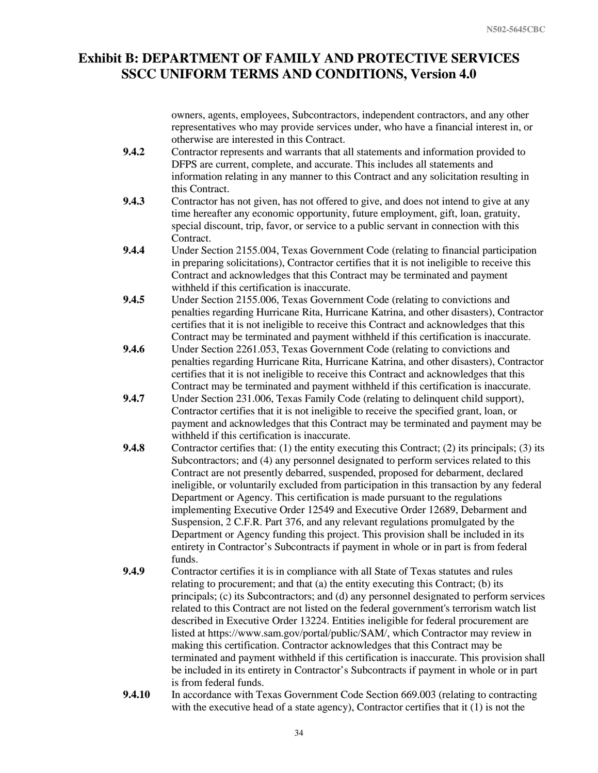owners, agents, employees, Subcontractors, independent contractors, and any other representatives who may provide services under, who have a financial interest in, or otherwise are interested in this Contract.

- **9.4.2** Contractor represents and warrants that all statements and information provided to DFPS are current, complete, and accurate. This includes all statements and information relating in any manner to this Contract and any solicitation resulting in this Contract.
- **9.4.3** Contractor has not given, has not offered to give, and does not intend to give at any time hereafter any economic opportunity, future employment, gift, loan, gratuity, special discount, trip, favor, or service to a public servant in connection with this Contract.
- **9.4.4** Under Section 2155.004, Texas Government Code (relating to financial participation in preparing solicitations), Contractor certifies that it is not ineligible to receive this Contract and acknowledges that this Contract may be terminated and payment withheld if this certification is inaccurate.
- **9.4.5** Under Section 2155.006, Texas Government Code (relating to convictions and penalties regarding Hurricane Rita, Hurricane Katrina, and other disasters), Contractor certifies that it is not ineligible to receive this Contract and acknowledges that this Contract may be terminated and payment withheld if this certification is inaccurate.
- **9.4.6** Under Section 2261.053, Texas Government Code (relating to convictions and penalties regarding Hurricane Rita, Hurricane Katrina, and other disasters), Contractor certifies that it is not ineligible to receive this Contract and acknowledges that this Contract may be terminated and payment withheld if this certification is inaccurate.
- **9.4.7** Under Section 231.006, Texas Family Code (relating to delinquent child support), Contractor certifies that it is not ineligible to receive the specified grant, loan, or payment and acknowledges that this Contract may be terminated and payment may be withheld if this certification is inaccurate.
- **9.4.8** Contractor certifies that: (1) the entity executing this Contract; (2) its principals; (3) its Subcontractors; and (4) any personnel designated to perform services related to this Contract are not presently debarred, suspended, proposed for debarment, declared ineligible, or voluntarily excluded from participation in this transaction by any federal Department or Agency. This certification is made pursuant to the regulations implementing Executive Order 12549 and Executive Order 12689, Debarment and Suspension, 2 C.F.R. Part 376, and any relevant regulations promulgated by the Department or Agency funding this project. This provision shall be included in its entirety in Contractor's Subcontracts if payment in whole or in part is from federal funds.
- **9.4.9** Contractor certifies it is in compliance with all State of Texas statutes and rules relating to procurement; and that (a) the entity executing this Contract; (b) its principals; (c) its Subcontractors; and (d) any personnel designated to perform services related to this Contract are not listed on the federal government's terrorism watch list described in Executive Order 13224. Entities ineligible for federal procurement are listed at https://www.sam.gov/portal/public/SAM/, which Contractor may review in making this certification. Contractor acknowledges that this Contract may be terminated and payment withheld if this certification is inaccurate. This provision shall be included in its entirety in Contractor's Subcontracts if payment in whole or in part is from federal funds.
- **9.4.10** In accordance with Texas Government Code Section 669.003 (relating to contracting with the executive head of a state agency), Contractor certifies that it (1) is not the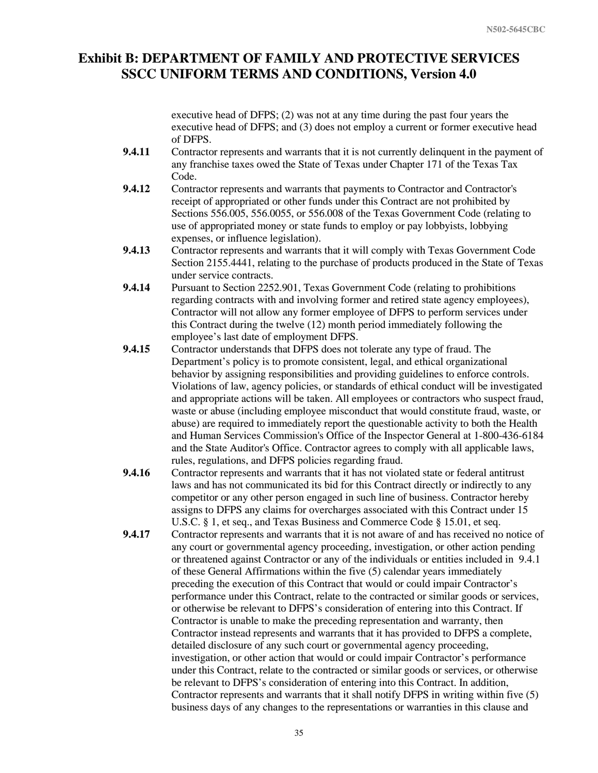executive head of DFPS; (2) was not at any time during the past four years the executive head of DFPS; and (3) does not employ a current or former executive head of DFPS.

- **9.4.11** Contractor represents and warrants that it is not currently delinquent in the payment of any franchise taxes owed the State of Texas under Chapter 171 of the Texas Tax Code.
- **9.4.12** Contractor represents and warrants that payments to Contractor and Contractor's receipt of appropriated or other funds under this Contract are not prohibited by Sections 556.005, 556.0055, or 556.008 of the Texas Government Code (relating to use of appropriated money or state funds to employ or pay lobbyists, lobbying expenses, or influence legislation).
- **9.4.13** Contractor represents and warrants that it will comply with Texas Government Code Section 2155.4441, relating to the purchase of products produced in the State of Texas under service contracts.
- **9.4.14** Pursuant to Section 2252.901, Texas Government Code (relating to prohibitions regarding contracts with and involving former and retired state agency employees), Contractor will not allow any former employee of DFPS to perform services under this Contract during the twelve (12) month period immediately following the employee's last date of employment DFPS.
- **9.4.15** Contractor understands that DFPS does not tolerate any type of fraud. The Department's policy is to promote consistent, legal, and ethical organizational behavior by assigning responsibilities and providing guidelines to enforce controls. Violations of law, agency policies, or standards of ethical conduct will be investigated and appropriate actions will be taken. All employees or contractors who suspect fraud, waste or abuse (including employee misconduct that would constitute fraud, waste, or abuse) are required to immediately report the questionable activity to both the Health and Human Services Commission's Office of the Inspector General at 1-800-436-6184 and the State Auditor's Office. Contractor agrees to comply with all applicable laws, rules, regulations, and DFPS policies regarding fraud.
- **9.4.16** Contractor represents and warrants that it has not violated state or federal antitrust laws and has not communicated its bid for this Contract directly or indirectly to any competitor or any other person engaged in such line of business. Contractor hereby assigns to DFPS any claims for overcharges associated with this Contract under 15 U.S.C. § 1, et seq., and Texas Business and Commerce Code § 15.01, et seq.
- **9.4.17** Contractor represents and warrants that it is not aware of and has received no notice of any court or governmental agency proceeding, investigation, or other action pending or threatened against Contractor or any of the individuals or entities included in 9.4.1 of these General Affirmations within the five (5) calendar years immediately preceding the execution of this Contract that would or could impair Contractor's performance under this Contract, relate to the contracted or similar goods or services, or otherwise be relevant to DFPS's consideration of entering into this Contract. If Contractor is unable to make the preceding representation and warranty, then Contractor instead represents and warrants that it has provided to DFPS a complete, detailed disclosure of any such court or governmental agency proceeding, investigation, or other action that would or could impair Contractor's performance under this Contract, relate to the contracted or similar goods or services, or otherwise be relevant to DFPS's consideration of entering into this Contract. In addition, Contractor represents and warrants that it shall notify DFPS in writing within five (5) business days of any changes to the representations or warranties in this clause and